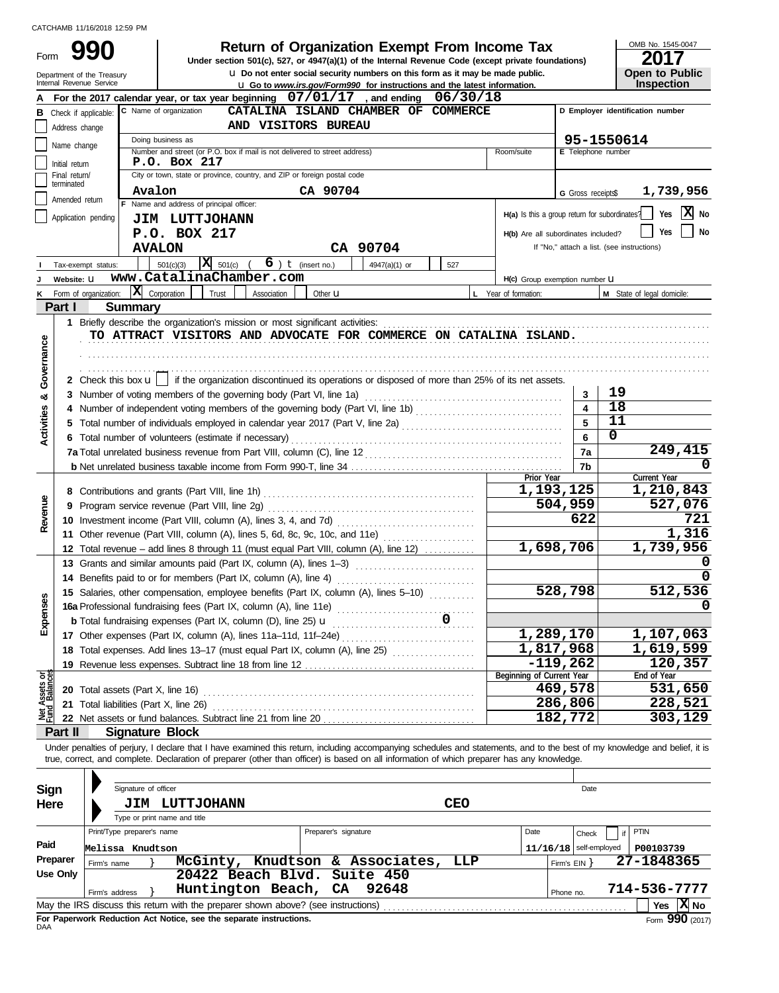Department of the Treasury<br>Internal Revenue Service

Form

**u** Go to *www.irs.gov/Form990* for instructions and the latest information. **u** Do not enter social security numbers on this form as it may be made public. **990 2017 2018 2017 Depending Solution Solution Solution Solution Spanization Exempt From Income Tax 2017** 

| OMB No. 1545-0047                    |
|--------------------------------------|
| 2017                                 |
|                                      |
| <b>Open to Public<br/>Inspection</b> |

|                                |                                 | For the 2017 calendar year, or tax year beginning $07/01/17$ , and ending<br>06/30/18                                                                                      |                                               |                          |                                            |  |
|--------------------------------|---------------------------------|----------------------------------------------------------------------------------------------------------------------------------------------------------------------------|-----------------------------------------------|--------------------------|--------------------------------------------|--|
| в                              | Check if applicable:            | C Name of organization<br>CATALINA ISLAND CHAMBER OF COMMERCE                                                                                                              |                                               |                          | D Employer identification number           |  |
|                                | Address change                  | AND VISITORS BUREAU                                                                                                                                                        |                                               |                          |                                            |  |
|                                | Name change                     | Doing business as                                                                                                                                                          |                                               |                          | 95-1550614                                 |  |
|                                |                                 | Number and street (or P.O. box if mail is not delivered to street address)<br>P.O. Box 217                                                                                 | Room/suite                                    | E Telephone number       |                                            |  |
|                                | Initial return<br>Final return/ | City or town, state or province, country, and ZIP or foreign postal code                                                                                                   |                                               |                          |                                            |  |
|                                | terminated                      |                                                                                                                                                                            |                                               |                          |                                            |  |
|                                | Amended return                  | CA 90704<br>Avalon<br>F Name and address of principal officer:                                                                                                             |                                               | G Gross receipts\$       | 1,739,956                                  |  |
|                                |                                 | Application pending                                                                                                                                                        | H(a) Is this a group return for subordinates? |                          | X No<br>Yes                                |  |
|                                |                                 | JIM LUTTJOHANN                                                                                                                                                             |                                               |                          | <b>No</b><br>Yes                           |  |
|                                |                                 | P.O. BOX 217                                                                                                                                                               | H(b) Are all subordinates included?           |                          | If "No," attach a list. (see instructions) |  |
|                                |                                 | CA 90704<br><b>AVALON</b>                                                                                                                                                  |                                               |                          |                                            |  |
|                                |                                 | $\overline{\mathbf{X}}$ 501(c)<br>$6$ ) $t$ (insert no.)<br>501(c)(3)<br>4947(a)(1) or<br>527<br>Tax-exempt status:                                                        |                                               |                          |                                            |  |
|                                | Website: U                      | www.CatalinaChamber.com                                                                                                                                                    | H(c) Group exemption number LI                |                          |                                            |  |
| κ                              |                                 | X Corporation<br>Form of organization:<br>Trust<br>Association<br>Other <b>u</b>                                                                                           | L Year of formation:                          |                          | M State of legal domicile:                 |  |
|                                | Part I                          | <b>Summary</b>                                                                                                                                                             |                                               |                          |                                            |  |
|                                |                                 | 1 Briefly describe the organization's mission or most significant activities:                                                                                              |                                               |                          |                                            |  |
|                                |                                 | TO ATTRACT VISITORS AND ADVOCATE FOR COMMERCE ON CATALINA ISLAND.                                                                                                          |                                               |                          |                                            |  |
|                                |                                 |                                                                                                                                                                            |                                               |                          |                                            |  |
| Governance                     |                                 |                                                                                                                                                                            |                                               |                          |                                            |  |
|                                |                                 | 2 Check this box $\mathbf{u}$   if the organization discontinued its operations or disposed of more than 25% of its net assets.                                            |                                               |                          |                                            |  |
| oð                             |                                 | 3 Number of voting members of the governing body (Part VI, line 1a)                                                                                                        |                                               | 3                        | 19                                         |  |
|                                |                                 |                                                                                                                                                                            |                                               | $\overline{\mathbf{4}}$  | $\overline{18}$                            |  |
| <b>Activities</b>              |                                 |                                                                                                                                                                            |                                               | 5                        | 11                                         |  |
|                                |                                 | 6 Total number of volunteers (estimate if necessary)                                                                                                                       |                                               | 6                        | $\mathbf 0$                                |  |
|                                |                                 |                                                                                                                                                                            |                                               | 7a                       | 249,415                                    |  |
|                                |                                 |                                                                                                                                                                            |                                               | 7b                       | 0                                          |  |
|                                |                                 |                                                                                                                                                                            | Prior Year                                    |                          | Current Year                               |  |
|                                |                                 |                                                                                                                                                                            |                                               | 1,193,125                | 1,210,843                                  |  |
| Revenue                        |                                 | 9 Program service revenue (Part VIII, line 2g)                                                                                                                             |                                               | 504,959                  | 527,076                                    |  |
|                                |                                 |                                                                                                                                                                            |                                               | 622                      | 721                                        |  |
|                                |                                 | 11 Other revenue (Part VIII, column (A), lines 5, 6d, 8c, 9c, 10c, and 11e)                                                                                                |                                               |                          | 1,316                                      |  |
|                                |                                 | 12 Total revenue - add lines 8 through 11 (must equal Part VIII, column (A), line 12)                                                                                      |                                               | 1,698,706                | 1,739,956                                  |  |
|                                |                                 | 13 Grants and similar amounts paid (Part IX, column (A), lines 1-3)                                                                                                        |                                               |                          |                                            |  |
|                                |                                 | 14 Benefits paid to or for members (Part IX, column (A), line 4)                                                                                                           |                                               |                          |                                            |  |
|                                |                                 | 15 Salaries, other compensation, employee benefits (Part IX, column (A), lines 5-10)                                                                                       |                                               | 528,798                  | 512,536                                    |  |
|                                |                                 |                                                                                                                                                                            |                                               |                          |                                            |  |
| xpenses                        |                                 |                                                                                                                                                                            |                                               |                          |                                            |  |
|                                |                                 | 17 Other expenses (Part IX, column (A), lines 11a-11d, 11f-24e)                                                                                                            |                                               | 1,289,170                | 1,107,063                                  |  |
|                                |                                 | 18 Total expenses. Add lines 13-17 (must equal Part IX, column (A), line 25) [                                                                                             |                                               | 1,817,968                | 1,619,599                                  |  |
|                                |                                 |                                                                                                                                                                            |                                               | $-119,262$               | 120,357                                    |  |
| Net Assets or<br>Fund Balances |                                 |                                                                                                                                                                            | Beginning of Current Year                     |                          | End of Year                                |  |
|                                |                                 | 20 Total assets (Part X, line 16)                                                                                                                                          |                                               | $\overline{469}$ , 578   | 531,650                                    |  |
|                                |                                 | 21 Total liabilities (Part X, line 26)                                                                                                                                     |                                               | 286,806                  | 228,521                                    |  |
|                                |                                 | 22 Net assets or fund balances. Subtract line 21 from line 20                                                                                                              |                                               | 182,772                  | 303,129                                    |  |
|                                | Part II                         | <b>Signature Block</b>                                                                                                                                                     |                                               |                          |                                            |  |
|                                |                                 | Under penalties of perjury, I declare that I have examined this return, including accompanying schedules and statements, and to the best of my knowledge and belief, it is |                                               |                          |                                            |  |
|                                |                                 | true, correct, and complete. Declaration of preparer (other than officer) is based on all information of which preparer has any knowledge.                                 |                                               |                          |                                            |  |
|                                |                                 |                                                                                                                                                                            |                                               |                          |                                            |  |
| <b>Sign</b>                    |                                 | Signature of officer                                                                                                                                                       |                                               | Date                     |                                            |  |
|                                | Here                            | <b>CEO</b><br><b>LUTTJOHANN</b><br>JIM                                                                                                                                     |                                               |                          |                                            |  |
|                                |                                 | Type or print name and title                                                                                                                                               |                                               |                          |                                            |  |
|                                |                                 | Print/Type preparer's name<br>Preparer's signature                                                                                                                         | Date                                          | Check                    | <b>PTIN</b><br>if                          |  |
| Paid                           |                                 | Melissa Knudtson                                                                                                                                                           |                                               | $11/16/18$ self-employed | P00103739                                  |  |
|                                | Preparer                        | McGinty, Knudtson & Associates,<br>LLP<br>Firm's name                                                                                                                      |                                               | Firm's $EIN$ }           | 27-1848365                                 |  |
|                                | <b>Use Only</b>                 | 20422 Beach Blvd.<br>Suite 450                                                                                                                                             |                                               |                          |                                            |  |
|                                |                                 | Huntington Beach,<br>92648<br>CA<br>Firm's address                                                                                                                         |                                               | Phone no.                | 714-536-7777                               |  |
|                                |                                 | May the IRS discuss this return with the preparer shown above? (see instructions)                                                                                          |                                               |                          | Yes $ X $ No                               |  |

|          |                                                                                           |  | Type or print name and title                                                      |  |  |                      |                                 |      |  |                |                          |              |                             |
|----------|-------------------------------------------------------------------------------------------|--|-----------------------------------------------------------------------------------|--|--|----------------------|---------------------------------|------|--|----------------|--------------------------|--------------|-----------------------------|
|          | Print/Type preparer's name                                                                |  |                                                                                   |  |  | Preparer's signature |                                 | Date |  | Check          | <b>PTIN</b>              |              |                             |
| Paid     | Melissa Knudtson                                                                          |  |                                                                                   |  |  |                      |                                 |      |  |                | $11/16/18$ self-employed | P00103739    |                             |
| Preparer | Firm's name                                                                               |  |                                                                                   |  |  |                      | McGinty, Knudtson & Associates, | LLP  |  | Firm's $EIN$ } |                          | 27-1848365   |                             |
| Use Only |                                                                                           |  | 20422 Beach Blvd. Suite 450                                                       |  |  |                      |                                 |      |  |                |                          |              |                             |
|          | Firm's address                                                                            |  | Huntington Beach, CA 92648                                                        |  |  |                      |                                 |      |  | Phone no.      |                          | 714-536-7777 |                             |
|          |                                                                                           |  | May the IRS discuss this return with the preparer shown above? (see instructions) |  |  |                      |                                 |      |  |                |                          |              | Yes $\boxed{\mathbf{X}}$ No |
|          | $\overline{a}$<br>For Bournaised Bolletter Art Motter and discussions to the complete the |  |                                                                                   |  |  |                      |                                 |      |  |                |                          |              |                             |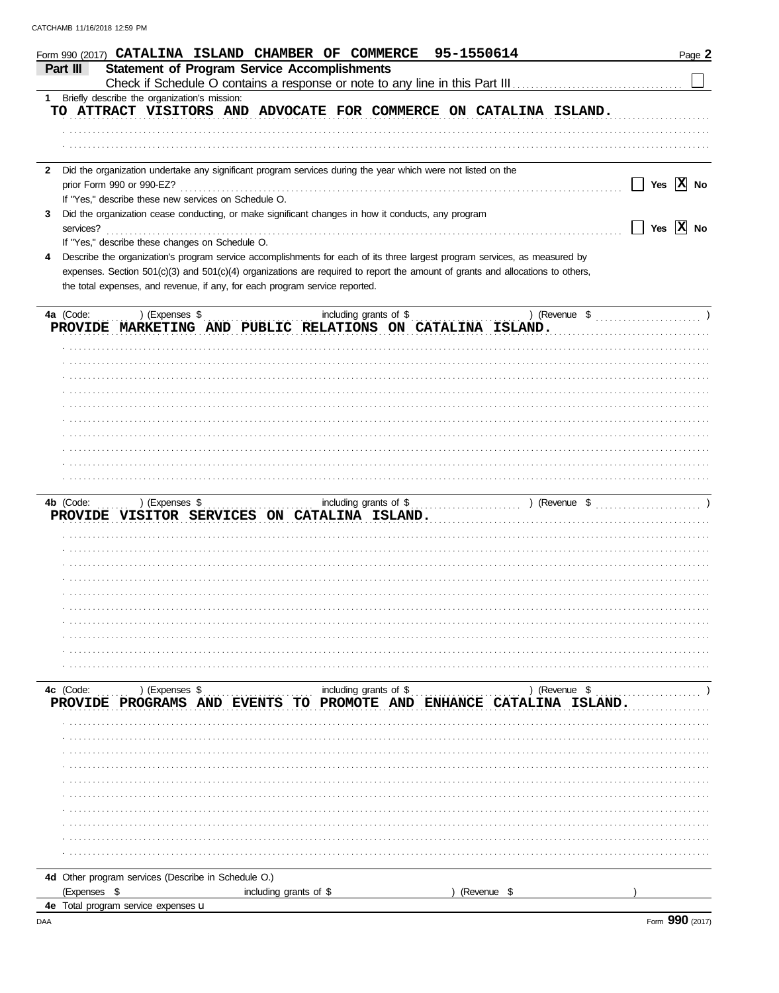| Form 990 (2017) CATALINA ISLAND CHAMBER OF COMMERCE                                                                             |                           | 95-1550614             | Page 2                |
|---------------------------------------------------------------------------------------------------------------------------------|---------------------------|------------------------|-----------------------|
| <b>Statement of Program Service Accomplishments</b><br>Part III                                                                 |                           |                        |                       |
| Check if Schedule O contains a response or note to any line in this Part III<br>1 Briefly describe the organization's mission:  |                           |                        |                       |
| TO ATTRACT VISITORS AND ADVOCATE FOR COMMERCE ON CATALINA ISLAND.                                                               |                           |                        |                       |
|                                                                                                                                 |                           |                        |                       |
|                                                                                                                                 |                           |                        |                       |
|                                                                                                                                 |                           |                        |                       |
| Did the organization undertake any significant program services during the year which were not listed on the<br>$\mathbf{2}$    |                           |                        |                       |
| prior Form 990 or 990-EZ?                                                                                                       |                           |                        | Yes $ X $ No          |
| If "Yes," describe these new services on Schedule O.                                                                            |                           |                        |                       |
| Did the organization cease conducting, or make significant changes in how it conducts, any program<br>3                         |                           |                        |                       |
| services?                                                                                                                       |                           |                        | Yes $\overline{X}$ No |
| If "Yes," describe these changes on Schedule O.                                                                                 |                           |                        |                       |
| Describe the organization's program service accomplishments for each of its three largest program services, as measured by<br>4 |                           |                        |                       |
| expenses. Section 501(c)(3) and 501(c)(4) organizations are required to report the amount of grants and allocations to others,  |                           |                        |                       |
| the total expenses, and revenue, if any, for each program service reported.                                                     |                           |                        |                       |
|                                                                                                                                 |                           |                        |                       |
| 4a (Code:<br>) (Expenses \$<br>PROVIDE MARKETING AND PUBLIC RELATIONS ON CATALINA ISLAND.                                       | including grants of \$    |                        | ) (Revenue \$         |
|                                                                                                                                 |                           |                        |                       |
|                                                                                                                                 |                           |                        |                       |
|                                                                                                                                 |                           |                        |                       |
|                                                                                                                                 |                           |                        |                       |
|                                                                                                                                 |                           |                        |                       |
|                                                                                                                                 |                           |                        |                       |
|                                                                                                                                 |                           |                        |                       |
|                                                                                                                                 |                           |                        |                       |
|                                                                                                                                 |                           |                        |                       |
|                                                                                                                                 |                           |                        |                       |
|                                                                                                                                 |                           |                        |                       |
| 4b (Code:<br>) (Expenses \$                                                                                                     |                           | including grants of \$ | ) (Revenue \$         |
| PROVIDE VISITOR SERVICES ON CATALINA ISLAND.                                                                                    |                           |                        |                       |
|                                                                                                                                 |                           |                        |                       |
|                                                                                                                                 |                           |                        |                       |
|                                                                                                                                 |                           |                        |                       |
|                                                                                                                                 |                           |                        |                       |
|                                                                                                                                 |                           |                        |                       |
|                                                                                                                                 |                           |                        |                       |
|                                                                                                                                 |                           |                        |                       |
|                                                                                                                                 |                           |                        |                       |
|                                                                                                                                 |                           |                        |                       |
|                                                                                                                                 |                           |                        |                       |
| 4c (Code:<br>) (Expenses \$                                                                                                     | including grants of \$    |                        | ) (Revenue \$         |
| PROVIDE PROGRAMS AND<br><b>FVENTS</b>                                                                                           | PROMOTE AND ENHANCE<br>TО |                        | CATALINA ISLAND.      |
|                                                                                                                                 |                           |                        |                       |
|                                                                                                                                 |                           |                        |                       |
|                                                                                                                                 |                           |                        |                       |
|                                                                                                                                 |                           |                        |                       |
|                                                                                                                                 |                           |                        |                       |
|                                                                                                                                 |                           |                        |                       |
|                                                                                                                                 |                           |                        |                       |
|                                                                                                                                 |                           |                        |                       |
|                                                                                                                                 |                           |                        |                       |
|                                                                                                                                 |                           |                        |                       |
|                                                                                                                                 |                           |                        |                       |
| 4d Other program services (Describe in Schedule O.)                                                                             |                           |                        |                       |
| (Expenses \$                                                                                                                    | including grants of \$    | (Revenue \$            |                       |
| 4e Total program service expenses u                                                                                             |                           |                        |                       |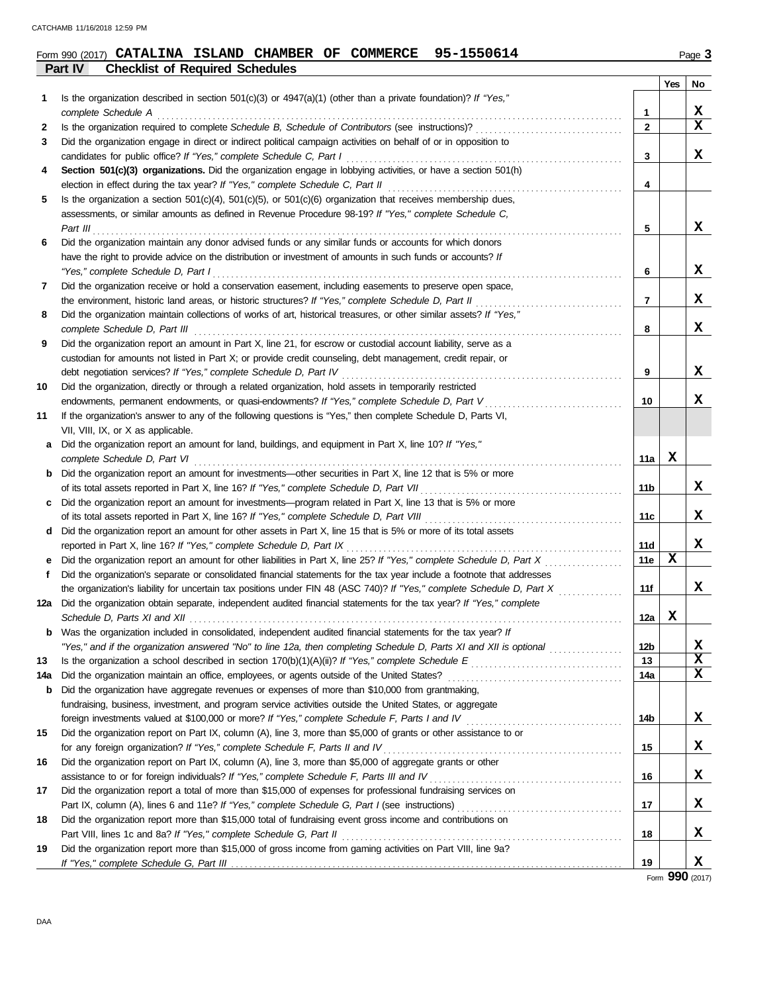|        | 95-1550614<br>Form 990 (2017) CATALINA ISLAND CHAMBER OF COMMERCE                                                                                                                       |                   |     | Page 3 |
|--------|-----------------------------------------------------------------------------------------------------------------------------------------------------------------------------------------|-------------------|-----|--------|
|        | <b>Checklist of Required Schedules</b><br>Part IV                                                                                                                                       |                   |     |        |
|        |                                                                                                                                                                                         |                   | Yes | No     |
| 1.     | Is the organization described in section $501(c)(3)$ or $4947(a)(1)$ (other than a private foundation)? If "Yes,"                                                                       |                   |     |        |
|        | complete Schedule A<br>Is the organization required to complete Schedule B, Schedule of Contributors (see instructions)?                                                                | 1<br>$\mathbf{2}$ |     | X<br>x |
| 2<br>3 | Did the organization engage in direct or indirect political campaign activities on behalf of or in opposition to                                                                        |                   |     |        |
|        | candidates for public office? If "Yes," complete Schedule C, Part I                                                                                                                     | 3                 |     | X      |
| 4      | Section 501(c)(3) organizations. Did the organization engage in lobbying activities, or have a section 501(h)                                                                           |                   |     |        |
|        | election in effect during the tax year? If "Yes," complete Schedule C, Part II                                                                                                          | 4                 |     |        |
| 5      | Is the organization a section $501(c)(4)$ , $501(c)(5)$ , or $501(c)(6)$ organization that receives membership dues,                                                                    |                   |     |        |
|        | assessments, or similar amounts as defined in Revenue Procedure 98-19? If "Yes," complete Schedule C,                                                                                   |                   |     |        |
|        | Part III                                                                                                                                                                                | 5                 |     | x      |
| 6      | Did the organization maintain any donor advised funds or any similar funds or accounts for which donors                                                                                 |                   |     |        |
|        | have the right to provide advice on the distribution or investment of amounts in such funds or accounts? If                                                                             |                   |     |        |
|        | "Yes," complete Schedule D, Part I                                                                                                                                                      | 6                 |     | x      |
| 7      | Did the organization receive or hold a conservation easement, including easements to preserve open space,                                                                               |                   |     |        |
|        | the environment, historic land areas, or historic structures? If "Yes," complete Schedule D, Part II                                                                                    | $\overline{7}$    |     | X      |
| 8      | Did the organization maintain collections of works of art, historical treasures, or other similar assets? If "Yes,"                                                                     |                   |     |        |
|        | complete Schedule D, Part III                                                                                                                                                           | 8                 |     | X      |
| 9      | Did the organization report an amount in Part X, line 21, for escrow or custodial account liability, serve as a                                                                         |                   |     |        |
|        | custodian for amounts not listed in Part X; or provide credit counseling, debt management, credit repair, or                                                                            |                   |     |        |
|        | debt negotiation services? If "Yes," complete Schedule D, Part IV                                                                                                                       | 9                 |     | X      |
| 10     | Did the organization, directly or through a related organization, hold assets in temporarily restricted                                                                                 |                   |     |        |
|        | endowments, permanent endowments, or quasi-endowments? If "Yes," complete Schedule D, Part V                                                                                            | 10                |     | x      |
| 11     | If the organization's answer to any of the following questions is "Yes," then complete Schedule D, Parts VI,                                                                            |                   |     |        |
|        | VII, VIII, IX, or X as applicable.                                                                                                                                                      |                   |     |        |
| а      | Did the organization report an amount for land, buildings, and equipment in Part X, line 10? If "Yes,"                                                                                  |                   |     |        |
|        | complete Schedule D, Part VI                                                                                                                                                            | 11a               | х   |        |
| b      | Did the organization report an amount for investments—other securities in Part X, line 12 that is 5% or more                                                                            |                   |     |        |
|        | of its total assets reported in Part X, line 16? If "Yes," complete Schedule D, Part VII                                                                                                | 11b               |     | X      |
| c      | Did the organization report an amount for investments—program related in Part X, line 13 that is 5% or more                                                                             |                   |     |        |
|        | of its total assets reported in Part X, line 16? If "Yes," complete Schedule D, Part VIII                                                                                               | 11c               |     | x      |
| d      | Did the organization report an amount for other assets in Part X, line 15 that is 5% or more of its total assets<br>reported in Part X, line 16? If "Yes," complete Schedule D, Part IX | 11d               |     | X      |
|        | Did the organization report an amount for other liabilities in Part X, line 25? If "Yes," complete Schedule D, Part X                                                                   | 11e               | X   |        |
|        | Did the organization's separate or consolidated financial statements for the tax year include a footnote that addresses                                                                 |                   |     |        |
|        | the organization's liability for uncertain tax positions under FIN 48 (ASC 740)? If "Yes," complete Schedule D, Part X                                                                  | 11f               |     |        |
|        | 12a Did the organization obtain separate, independent audited financial statements for the tax year? If "Yes," complete                                                                 |                   |     | Δ.     |
|        | Schedule D, Parts XI and XII                                                                                                                                                            | 12a               | X   |        |
| b      | Was the organization included in consolidated, independent audited financial statements for the tax year? If                                                                            |                   |     |        |
|        | "Yes," and if the organization answered "No" to line 12a, then completing Schedule D, Parts XI and XII is optional                                                                      | 12 <sub>b</sub>   |     | X      |
| 13     |                                                                                                                                                                                         | 13                |     | X      |
| 14a    | Did the organization maintain an office, employees, or agents outside of the United States?                                                                                             | 14a               |     | X      |
| b      | Did the organization have aggregate revenues or expenses of more than \$10,000 from grantmaking,                                                                                        |                   |     |        |
|        | fundraising, business, investment, and program service activities outside the United States, or aggregate                                                                               |                   |     |        |
|        | foreign investments valued at \$100,000 or more? If "Yes," complete Schedule F, Parts I and IV                                                                                          | 14b               |     | X      |
| 15     | Did the organization report on Part IX, column (A), line 3, more than \$5,000 of grants or other assistance to or                                                                       |                   |     |        |
|        | for any foreign organization? If "Yes," complete Schedule F, Parts II and IV                                                                                                            | 15                |     | X      |
| 16     | Did the organization report on Part IX, column (A), line 3, more than \$5,000 of aggregate grants or other                                                                              |                   |     |        |
|        | assistance to or for foreign individuals? If "Yes," complete Schedule F, Parts III and IV                                                                                               | 16                |     | X      |
| 17     | Did the organization report a total of more than \$15,000 of expenses for professional fundraising services on                                                                          |                   |     |        |
|        |                                                                                                                                                                                         | 17                |     | X      |
| 18     | Did the organization report more than \$15,000 total of fundraising event gross income and contributions on                                                                             |                   |     |        |
|        | Part VIII, lines 1c and 8a? If "Yes," complete Schedule G, Part II                                                                                                                      | 18                |     | X      |
| 19     | Did the organization report more than \$15,000 of gross income from gaming activities on Part VIII, line 9a?                                                                            |                   |     |        |
|        |                                                                                                                                                                                         | 19                |     | X      |

Form **990** (2017)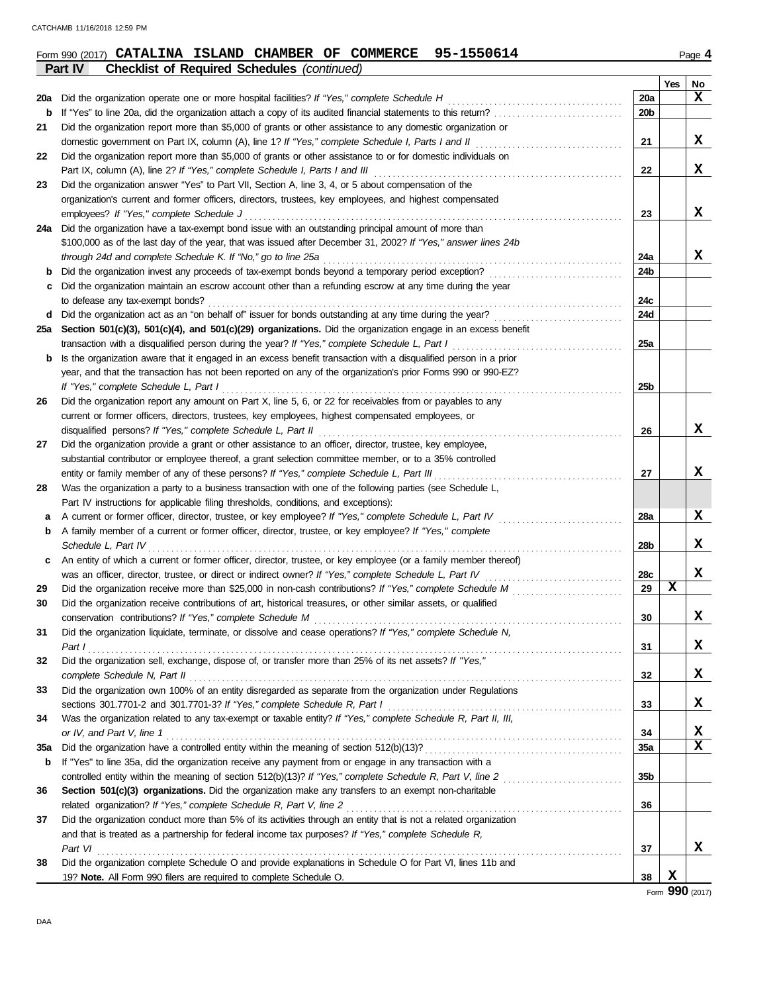|     | 95-1550614<br>Form 990 (2017) CATALINA ISLAND CHAMBER OF COMMERCE                                                                                                           |                 |     | Page 4      |
|-----|-----------------------------------------------------------------------------------------------------------------------------------------------------------------------------|-----------------|-----|-------------|
|     | <b>Checklist of Required Schedules (continued)</b><br>Part IV                                                                                                               |                 |     |             |
|     |                                                                                                                                                                             |                 | Yes | No          |
| 20a | Did the organization operate one or more hospital facilities? If "Yes," complete Schedule H                                                                                 | 20a             |     | X           |
| b   | If "Yes" to line 20a, did the organization attach a copy of its audited financial statements to this return?                                                                | 20 <sub>b</sub> |     |             |
| 21  | Did the organization report more than \$5,000 of grants or other assistance to any domestic organization or                                                                 |                 |     |             |
|     |                                                                                                                                                                             | 21              |     | X           |
| 22  | Did the organization report more than \$5,000 of grants or other assistance to or for domestic individuals on                                                               |                 |     |             |
|     | Part IX, column (A), line 2? If "Yes," complete Schedule I, Parts I and III                                                                                                 | 22              |     | X           |
| 23  | Did the organization answer "Yes" to Part VII, Section A, line 3, 4, or 5 about compensation of the                                                                         |                 |     |             |
|     | organization's current and former officers, directors, trustees, key employees, and highest compensated                                                                     |                 |     |             |
|     | employees? If "Yes," complete Schedule J                                                                                                                                    | 23              |     | X           |
| 24a | Did the organization have a tax-exempt bond issue with an outstanding principal amount of more than                                                                         |                 |     |             |
|     | \$100,000 as of the last day of the year, that was issued after December 31, 2002? If "Yes," answer lines 24b                                                               |                 |     |             |
|     | through 24d and complete Schedule K. If "No," go to line 25a                                                                                                                | 24a             |     | x           |
| b   | Did the organization invest any proceeds of tax-exempt bonds beyond a temporary period exception?                                                                           | 24b             |     |             |
| c   | Did the organization maintain an escrow account other than a refunding escrow at any time during the year                                                                   |                 |     |             |
|     | to defease any tax-exempt bonds?                                                                                                                                            | 24c             |     |             |
| d   | Did the organization act as an "on behalf of" issuer for bonds outstanding at any time during the year?                                                                     | 24d             |     |             |
| 25а | Section 501(c)(3), 501(c)(4), and 501(c)(29) organizations. Did the organization engage in an excess benefit                                                                |                 |     |             |
|     | transaction with a disqualified person during the year? If "Yes," complete Schedule L, Part I                                                                               | 25a             |     |             |
| b   | Is the organization aware that it engaged in an excess benefit transaction with a disqualified person in a prior                                                            |                 |     |             |
|     | year, and that the transaction has not been reported on any of the organization's prior Forms 990 or 990-EZ?                                                                |                 |     |             |
|     | If "Yes," complete Schedule L, Part I                                                                                                                                       | 25 <sub>b</sub> |     |             |
| 26  | Did the organization report any amount on Part X, line 5, 6, or 22 for receivables from or payables to any                                                                  |                 |     |             |
|     | current or former officers, directors, trustees, key employees, highest compensated employees, or                                                                           |                 |     |             |
|     | disqualified persons? If "Yes," complete Schedule L, Part II                                                                                                                | 26              |     | x           |
| 27  | Did the organization provide a grant or other assistance to an officer, director, trustee, key employee,                                                                    |                 |     |             |
|     | substantial contributor or employee thereof, a grant selection committee member, or to a 35% controlled                                                                     |                 |     |             |
|     | entity or family member of any of these persons? If "Yes," complete Schedule L, Part III                                                                                    | 27              |     | x           |
| 28  | Was the organization a party to a business transaction with one of the following parties (see Schedule L,                                                                   |                 |     |             |
|     | Part IV instructions for applicable filing thresholds, conditions, and exceptions):                                                                                         |                 |     | x           |
| а   | A current or former officer, director, trustee, or key employee? If "Yes," complete Schedule L, Part IV                                                                     | 28a             |     |             |
| b   | A family member of a current or former officer, director, trustee, or key employee? If "Yes," complete                                                                      |                 |     | x           |
|     | Schedule L, Part IV                                                                                                                                                         | 28b             |     |             |
| c   | An entity of which a current or former officer, director, trustee, or key employee (or a family member thereof)                                                             |                 |     | x           |
|     | was an officer, director, trustee, or direct or indirect owner? If "Yes," complete Schedule L, Part IV                                                                      | 28c<br>29       | Χ   |             |
| 29  |                                                                                                                                                                             |                 |     |             |
| 30  | Did the organization receive contributions of art, historical treasures, or other similar assets, or qualified<br>conservation contributions? If "Yes," complete Schedule M | 30              |     | x           |
|     | Did the organization liquidate, terminate, or dissolve and cease operations? If "Yes," complete Schedule N,                                                                 |                 |     |             |
| 31  | Part I                                                                                                                                                                      | 31              |     | X           |
| 32  | Did the organization sell, exchange, dispose of, or transfer more than 25% of its net assets? If "Yes,"                                                                     |                 |     |             |
|     | complete Schedule N, Part II                                                                                                                                                | 32              |     | X           |
| 33  | Did the organization own 100% of an entity disregarded as separate from the organization under Regulations                                                                  |                 |     |             |
|     | sections 301.7701-2 and 301.7701-3? If "Yes," complete Schedule R, Part I                                                                                                   | 33              |     | X           |
| 34  | Was the organization related to any tax-exempt or taxable entity? If "Yes," complete Schedule R, Part II, III,                                                              |                 |     |             |
|     | or IV, and Part V, line 1                                                                                                                                                   | 34              |     | X           |
| 35a |                                                                                                                                                                             | <b>35a</b>      |     | $\mathbf x$ |
| b   | If "Yes" to line 35a, did the organization receive any payment from or engage in any transaction with a                                                                     |                 |     |             |
|     | controlled entity within the meaning of section 512(b)(13)? If "Yes," complete Schedule R, Part V, line 2                                                                   | 35b             |     |             |
| 36  | Section 501(c)(3) organizations. Did the organization make any transfers to an exempt non-charitable                                                                        |                 |     |             |
|     | related organization? If "Yes," complete Schedule R, Part V, line 2                                                                                                         | 36              |     |             |
| 37  | Did the organization conduct more than 5% of its activities through an entity that is not a related organization                                                            |                 |     |             |
|     | and that is treated as a partnership for federal income tax purposes? If "Yes," complete Schedule R,                                                                        |                 |     |             |
|     | Part VI                                                                                                                                                                     | 37              |     | x           |
| 38  | Did the organization complete Schedule O and provide explanations in Schedule O for Part VI, lines 11b and                                                                  |                 |     |             |
|     | 19? Note. All Form 990 filers are required to complete Schedule O.                                                                                                          | 38              | X   |             |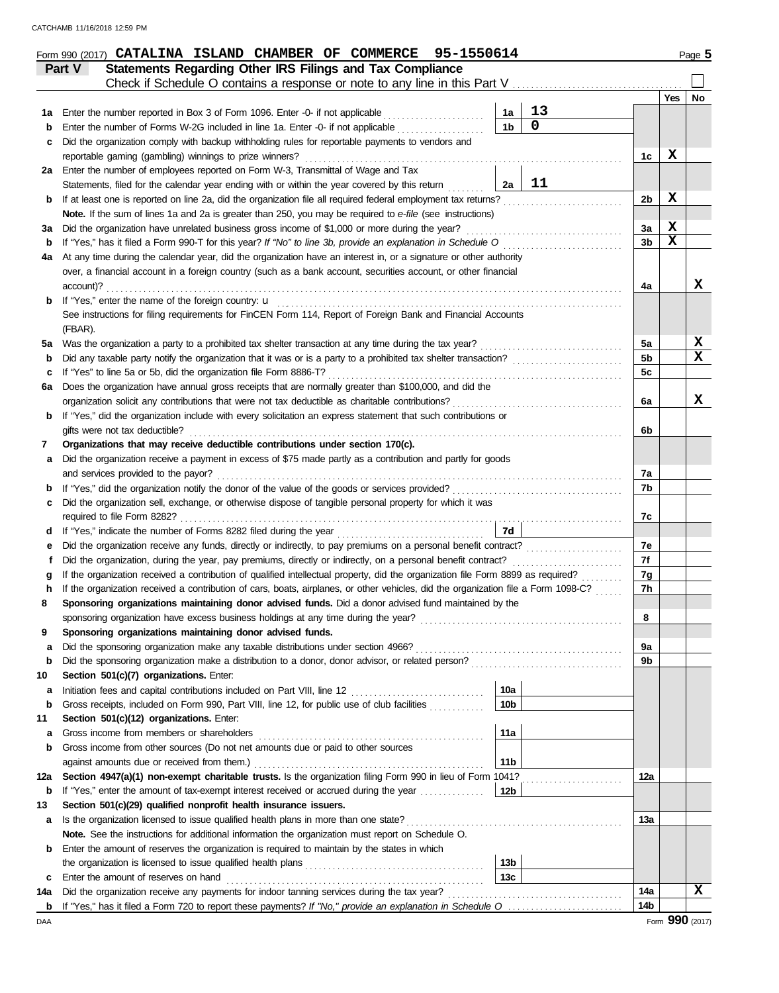|          | Form 990 (2017) CATALINA ISLAND CHAMBER OF COMMERCE 95-1550614                                                                                                                               |                        |             |                 |            | Page 5          |
|----------|----------------------------------------------------------------------------------------------------------------------------------------------------------------------------------------------|------------------------|-------------|-----------------|------------|-----------------|
|          | Statements Regarding Other IRS Filings and Tax Compliance<br>Part V                                                                                                                          |                        |             |                 |            |                 |
|          | Check if Schedule O contains a response or note to any line in this Part V                                                                                                                   |                        |             |                 |            |                 |
|          |                                                                                                                                                                                              |                        |             |                 | <b>Yes</b> | No              |
| 1а       | Enter the number reported in Box 3 of Form 1096. Enter -0- if not applicable <i>minimum</i>                                                                                                  | 1a                     | 13          |                 |            |                 |
| b        | Enter the number of Forms W-2G included in line 1a. Enter -0- if not applicable                                                                                                              | 1 <sub>b</sub>         | $\mathbf 0$ |                 |            |                 |
| c        | Did the organization comply with backup withholding rules for reportable payments to vendors and                                                                                             |                        |             |                 |            |                 |
|          | reportable gaming (gambling) winnings to prize winners?                                                                                                                                      |                        |             | 1c              | х          |                 |
|          | 2a Enter the number of employees reported on Form W-3, Transmittal of Wage and Tax                                                                                                           |                        |             |                 |            |                 |
|          | Statements, filed for the calendar year ending with or within the year covered by this return                                                                                                | 2a                     | 11          |                 |            |                 |
| b        | If at least one is reported on line 2a, did the organization file all required federal employment tax returns?                                                                               |                        |             | 2 <sub>b</sub>  | х          |                 |
|          | Note. If the sum of lines 1a and 2a is greater than 250, you may be required to e-file (see instructions)                                                                                    |                        |             |                 |            |                 |
| За       | Did the organization have unrelated business gross income of \$1,000 or more during the year?                                                                                                |                        |             | 3a              | X          |                 |
| b        | If "Yes," has it filed a Form 990-T for this year? If "No" to line 3b, provide an explanation in Schedule O                                                                                  |                        |             | 3b              | X          |                 |
| 4a       | At any time during the calendar year, did the organization have an interest in, or a signature or other authority                                                                            |                        |             |                 |            |                 |
|          | over, a financial account in a foreign country (such as a bank account, securities account, or other financial                                                                               |                        |             |                 |            |                 |
|          | account)?                                                                                                                                                                                    |                        |             | 4a              |            | x               |
| b        | If "Yes," enter the name of the foreign country: u                                                                                                                                           |                        |             |                 |            |                 |
|          | See instructions for filing requirements for FinCEN Form 114, Report of Foreign Bank and Financial Accounts                                                                                  |                        |             |                 |            |                 |
|          | (FBAR).                                                                                                                                                                                      |                        |             |                 |            |                 |
| 5a       | Was the organization a party to a prohibited tax shelter transaction at any time during the tax year?                                                                                        |                        |             | 5a              |            | X               |
| b        | Did any taxable party notify the organization that it was or is a party to a prohibited tax shelter transaction?                                                                             |                        |             | 5b              |            | x               |
| с        | If "Yes" to line 5a or 5b, did the organization file Form 8886-T?                                                                                                                            |                        |             | 5c              |            |                 |
| 6a       | Does the organization have annual gross receipts that are normally greater than \$100,000, and did the                                                                                       |                        |             |                 |            |                 |
|          | organization solicit any contributions that were not tax deductible as charitable contributions?                                                                                             |                        |             | 6a              |            | x               |
| b        | If "Yes," did the organization include with every solicitation an express statement that such contributions or                                                                               |                        |             |                 |            |                 |
|          | gifts were not tax deductible?                                                                                                                                                               |                        |             | 6b              |            |                 |
| 7        | Organizations that may receive deductible contributions under section 170(c).<br>Did the organization receive a payment in excess of \$75 made partly as a contribution and partly for goods |                        |             |                 |            |                 |
| а        | and services provided to the payor?                                                                                                                                                          |                        |             | 7a              |            |                 |
| b        | If "Yes," did the organization notify the donor of the value of the goods or services provided?                                                                                              |                        |             | 7b              |            |                 |
| с        | Did the organization sell, exchange, or otherwise dispose of tangible personal property for which it was                                                                                     |                        |             |                 |            |                 |
|          | required to file Form 8282?                                                                                                                                                                  |                        |             | 7c              |            |                 |
| d        | If "Yes," indicate the number of Forms 8282 filed during the year                                                                                                                            | 7d                     |             |                 |            |                 |
| е        | Did the organization receive any funds, directly or indirectly, to pay premiums on a personal benefit contract?                                                                              |                        |             | 7e              |            |                 |
|          | Did the organization, during the year, pay premiums, directly or indirectly, on a personal benefit contract?                                                                                 |                        |             | 7f              |            |                 |
|          | If the organization received a contribution of qualified intellectual property, did the organization file Form 8899 as required?                                                             |                        |             | 7g              |            |                 |
|          | If the organization received a contribution of cars, boats, airplanes, or other vehicles, did the organization file a Form 1098-C?                                                           |                        |             | 7h              |            |                 |
| 8        | Sponsoring organizations maintaining donor advised funds. Did a donor advised fund maintained by the                                                                                         |                        |             |                 |            |                 |
|          | sponsoring organization have excess business holdings at any time during the year?                                                                                                           |                        |             | 8               |            |                 |
| 9        | Sponsoring organizations maintaining donor advised funds.                                                                                                                                    |                        |             |                 |            |                 |
| a        | Did the sponsoring organization make any taxable distributions under section 4966?                                                                                                           |                        |             | 9a              |            |                 |
| b        | Did the sponsoring organization make a distribution to a donor, donor advisor, or related person?                                                                                            |                        |             | 9b              |            |                 |
| 10       | Section 501(c)(7) organizations. Enter:                                                                                                                                                      |                        |             |                 |            |                 |
| а        |                                                                                                                                                                                              | 10a                    |             |                 |            |                 |
| b        | Gross receipts, included on Form 990, Part VIII, line 12, for public use of club facilities                                                                                                  | 10 <sub>b</sub>        |             |                 |            |                 |
| 11       | Section 501(c)(12) organizations. Enter:                                                                                                                                                     |                        |             |                 |            |                 |
| а        | Gross income from members or shareholders                                                                                                                                                    | 11a                    |             |                 |            |                 |
| b        | Gross income from other sources (Do not net amounts due or paid to other sources                                                                                                             |                        |             |                 |            |                 |
|          | against amounts due or received from them.)                                                                                                                                                  | 11 <sub>b</sub>        |             |                 |            |                 |
| 12a      | Section 4947(a)(1) non-exempt charitable trusts. Is the organization filing Form 990 in lieu of Form 1041?                                                                                   |                        |             | 12a             |            |                 |
| b        | If "Yes," enter the amount of tax-exempt interest received or accrued during the year                                                                                                        | 12 <sub>b</sub>        |             |                 |            |                 |
| 13       | Section 501(c)(29) qualified nonprofit health insurance issuers.                                                                                                                             |                        |             |                 |            |                 |
| а        | Is the organization licensed to issue qualified health plans in more than one state?                                                                                                         |                        |             | 13а             |            |                 |
|          | Note. See the instructions for additional information the organization must report on Schedule O.                                                                                            |                        |             |                 |            |                 |
| b        | Enter the amount of reserves the organization is required to maintain by the states in which                                                                                                 |                        |             |                 |            |                 |
|          |                                                                                                                                                                                              | 13 <sub>b</sub><br>13c |             |                 |            |                 |
| c        | Enter the amount of reserves on hand<br>Did the organization receive any payments for indoor tanning services during the tax year?                                                           |                        |             | 14a             |            | x               |
| 14a<br>b | If "Yes," has it filed a Form 720 to report these payments? If "No," provide an explanation in Schedule O                                                                                    |                        |             | 14 <sub>b</sub> |            |                 |
| DAA      |                                                                                                                                                                                              |                        |             |                 |            | Form 990 (2017) |
|          |                                                                                                                                                                                              |                        |             |                 |            |                 |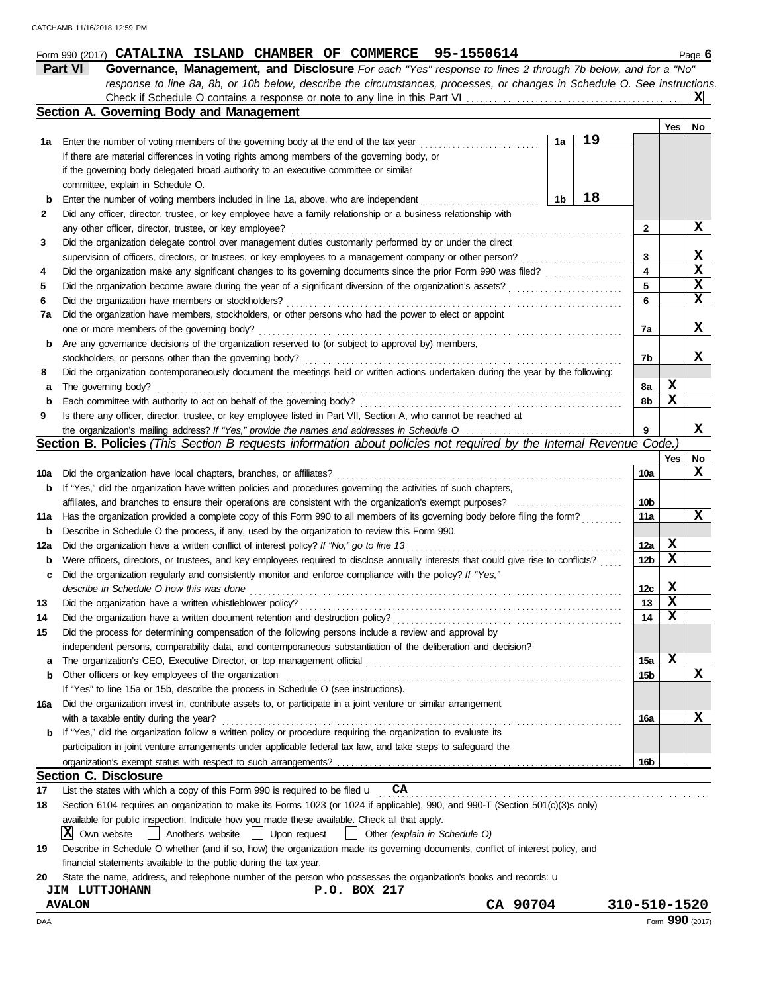|     | Form 990 (2017) CATALINA ISLAND CHAMBER OF COMMERCE 95-1550614                                                                      |                |    |                         |             | Page 6      |
|-----|-------------------------------------------------------------------------------------------------------------------------------------|----------------|----|-------------------------|-------------|-------------|
|     | <b>Part VI</b><br>Governance, Management, and Disclosure For each "Yes" response to lines 2 through 7b below, and for a "No"        |                |    |                         |             |             |
|     | response to line 8a, 8b, or 10b below, describe the circumstances, processes, or changes in Schedule O. See instructions.           |                |    |                         |             |             |
|     |                                                                                                                                     |                |    |                         |             | ΙXΙ         |
|     | Section A. Governing Body and Management                                                                                            |                |    |                         |             |             |
|     |                                                                                                                                     |                |    |                         | Yes         | No          |
| 1а  | Enter the number of voting members of the governing body at the end of the tax year                                                 | 1a             | 19 |                         |             |             |
|     | If there are material differences in voting rights among members of the governing body, or                                          |                |    |                         |             |             |
|     | if the governing body delegated broad authority to an executive committee or similar                                                |                |    |                         |             |             |
|     | committee, explain in Schedule O.                                                                                                   |                |    |                         |             |             |
| b   | Enter the number of voting members included in line 1a, above, who are independent                                                  | 1 <sub>b</sub> | 18 |                         |             |             |
| 2   | Did any officer, director, trustee, or key employee have a family relationship or a business relationship with                      |                |    |                         |             |             |
|     | any other officer, director, trustee, or key employee?                                                                              |                |    | $\mathbf{2}$            |             | х           |
| 3   | Did the organization delegate control over management duties customarily performed by or under the direct                           |                |    |                         |             |             |
|     | supervision of officers, directors, or trustees, or key employees to a management company or other person?                          |                |    | 3                       |             | X           |
| 4   | Did the organization make any significant changes to its governing documents since the prior Form 990 was filed?                    |                |    | $\overline{\mathbf{4}}$ |             | X           |
| 5   | Did the organization become aware during the year of a significant diversion of the organization's assets?                          |                |    | 5                       |             | X           |
| 6   | Did the organization have members or stockholders?                                                                                  |                |    | 6                       |             | $\mathbf x$ |
| 7a  | Did the organization have members, stockholders, or other persons who had the power to elect or appoint                             |                |    |                         |             |             |
|     | one or more members of the governing body?                                                                                          |                |    | 7a                      |             | x           |
| b   | Are any governance decisions of the organization reserved to (or subject to approval by) members,                                   |                |    |                         |             |             |
|     | stockholders, or persons other than the governing body?                                                                             |                |    | 7b                      |             | X           |
| 8   | Did the organization contemporaneously document the meetings held or written actions undertaken during the year by the following:   |                |    |                         |             |             |
| а   | The governing body?                                                                                                                 |                |    | 8a                      | X           |             |
| b   | Each committee with authority to act on behalf of the governing body?                                                               |                |    | 8b                      | X           |             |
| 9   | Is there any officer, director, trustee, or key employee listed in Part VII, Section A, who cannot be reached at                    |                |    |                         |             |             |
|     | the organization's mailing address? If "Yes," provide the names and addresses in Schedule O                                         |                |    | 9                       |             | X           |
|     | Section B. Policies (This Section B requests information about policies not required by the Internal Revenue Code.)                 |                |    |                         |             |             |
|     |                                                                                                                                     |                |    |                         | Yes         | No          |
| 10a | Did the organization have local chapters, branches, or affiliates?                                                                  |                |    | 10a                     |             | X           |
| b   | If "Yes," did the organization have written policies and procedures governing the activities of such chapters,                      |                |    |                         |             |             |
|     | affiliates, and branches to ensure their operations are consistent with the organization's exempt purposes?                         |                |    | 10 <sub>b</sub>         |             |             |
| 11a | Has the organization provided a complete copy of this Form 990 to all members of its governing body before filing the form?         |                |    | 11a                     |             | $\mathbf x$ |
| b   | Describe in Schedule O the process, if any, used by the organization to review this Form 990.                                       |                |    |                         |             |             |
| 12a | Did the organization have a written conflict of interest policy? If "No," go to line 13                                             |                |    | 12a                     | X           |             |
| b   | Were officers, directors, or trustees, and key employees required to disclose annually interests that could give rise to conflicts? |                |    | 12b                     | X           |             |
| c   | Did the organization regularly and consistently monitor and enforce compliance with the policy? If "Yes,"                           |                |    |                         |             |             |
|     | describe in Schedule O how this was done                                                                                            |                |    | 12c                     | X           |             |
| 13  | Did the organization have a written whistleblower policy?                                                                           |                |    | 13                      | X           |             |
| 14  | Did the organization have a written document retention and destruction policy?                                                      |                |    | 14                      | X           |             |
| 15  | Did the process for determining compensation of the following persons include a review and approval by                              |                |    |                         |             |             |
|     | independent persons, comparability data, and contemporaneous substantiation of the deliberation and decision?                       |                |    |                         |             |             |
| а   | The organization's CEO, Executive Director, or top management official                                                              |                |    | 15a                     | $\mathbf x$ |             |
| b   | Other officers or key employees of the organization                                                                                 |                |    | 15b                     |             | $\mathbf x$ |
|     | If "Yes" to line 15a or 15b, describe the process in Schedule O (see instructions).                                                 |                |    |                         |             |             |
| 16a | Did the organization invest in, contribute assets to, or participate in a joint venture or similar arrangement                      |                |    |                         |             |             |
|     | with a taxable entity during the year?                                                                                              |                |    |                         |             | x           |
|     | If "Yes," did the organization follow a written policy or procedure requiring the organization to evaluate its                      |                |    | 16a                     |             |             |
| b   | participation in joint venture arrangements under applicable federal tax law, and take steps to safeguard the                       |                |    |                         |             |             |
|     |                                                                                                                                     |                |    |                         |             |             |
|     | <b>Section C. Disclosure</b>                                                                                                        |                |    | 16b                     |             |             |
|     | CA<br>List the states with which a copy of this Form 990 is required to be filed u                                                  |                |    |                         |             |             |
| 17  |                                                                                                                                     |                |    |                         |             |             |
| 18  | Section 6104 requires an organization to make its Forms 1023 (or 1024 if applicable), 990, and 990-T (Section 501(c)(3)s only)      |                |    |                         |             |             |
|     | available for public inspection. Indicate how you made these available. Check all that apply.                                       |                |    |                         |             |             |
|     | X Own website<br>Another's website<br>  Upon request<br>Other (explain in Schedule O)                                               |                |    |                         |             |             |
| 19  | Describe in Schedule O whether (and if so, how) the organization made its governing documents, conflict of interest policy, and     |                |    |                         |             |             |
|     | financial statements available to the public during the tax year.                                                                   |                |    |                         |             |             |
| 20  | State the name, address, and telephone number of the person who possesses the organization's books and records: u                   |                |    |                         |             |             |

**JIM LUTTJOHANN P.O. BOX 217**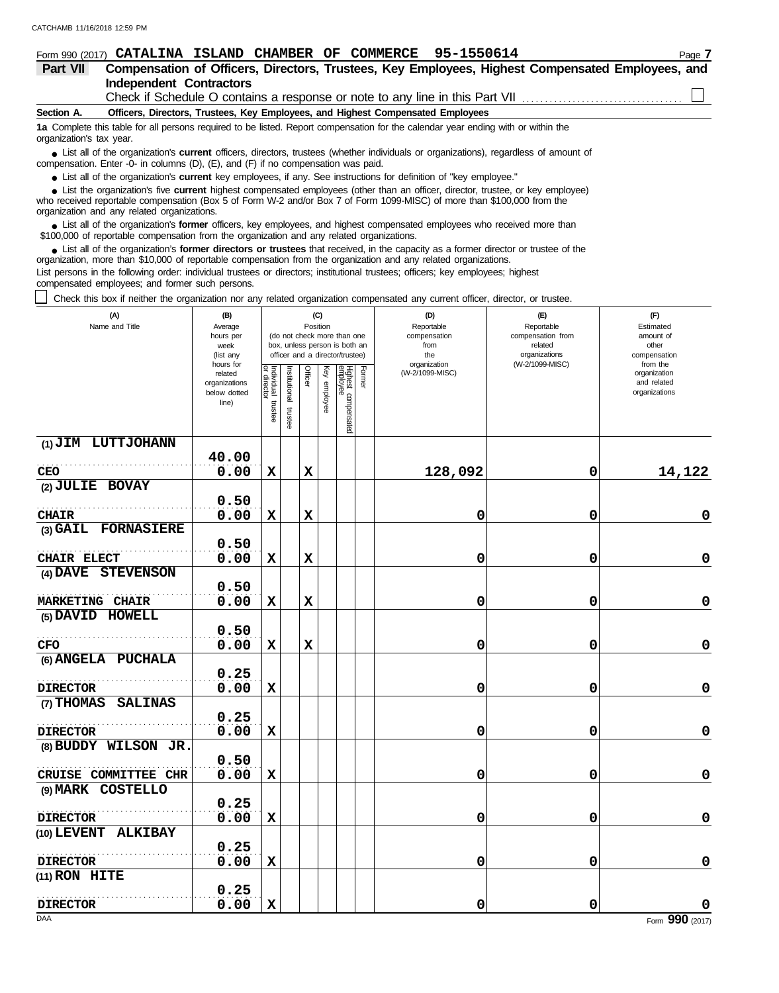| Form 990 (2017)          | 95-1550614<br><b>CHAMBER</b><br><b>COMMERCE</b><br><b>CATALINA</b><br>ISLAND<br>OF                                                                                                                                                      | Page 7 |
|--------------------------|-----------------------------------------------------------------------------------------------------------------------------------------------------------------------------------------------------------------------------------------|--------|
| <b>Part VII</b>          | Compensation of Officers, Directors, Trustees, Key Employees, Highest Compensated Employees, and                                                                                                                                        |        |
|                          | <b>Independent Contractors</b>                                                                                                                                                                                                          |        |
|                          | Check if Schedule O contains a response or note to any line in this Part VII                                                                                                                                                            |        |
| Section A.               | Officers, Directors, Trustees, Key Employees, and Highest Compensated Employees                                                                                                                                                         |        |
| organization's tax year. | 1a Complete this table for all persons required to be listed. Report compensation for the calendar year ending with or within the                                                                                                       |        |
|                          | • List all of the organization's <b>current</b> officers, directors, trustees (whether individuals or organizations), regardless of amount of<br>compensation. Enter -0- in columns (D), $(E)$ , and $(F)$ if no compensation was paid. |        |
|                          | • List all of the organization's current key employees, if any. See instructions for definition of "key employee."                                                                                                                      |        |
|                          | • List the organization's five current highest compensated employees (other than an officer, director, trustee, or key employee)                                                                                                        |        |

who received reportable compensation (Box 5 of Form W-2 and/or Box 7 of Form 1099-MISC) of more than \$100,000 from the organization and any related organizations. **•**

■ List all of the organization's **former** officers, key employees, and highest compensated employees who received more than<br> **•** 00.00 of reportable compensation from the examization and any related erganizations \$100,000 of reportable compensation from the organization and any related organizations.

■ List all of the organization's **former directors or trustees** that received, in the capacity as a former director or trustee of the parazition more than \$10,000 of reportable compensation from the organization and any r organization, more than \$10,000 of reportable compensation from the organization and any related organizations. List persons in the following order: individual trustees or directors; institutional trustees; officers; key employees; highest

compensated employees; and former such persons.

Check this box if neither the organization nor any related organization compensated any current officer, director, or trustee.

| (A)<br>Name and Title          | (B)<br>Average<br>hours per<br>week<br>(list any               |                                      |                       | (C)<br>Position |              | (do not check more than one<br>box, unless person is both an<br>officer and a director/trustee) |        | (D)<br>Reportable<br>compensation<br>from<br>the | (E)<br>Reportable<br>compensation from<br>related<br>organizations | (F)<br>Estimated<br>amount of<br>other<br>compensation   |  |  |
|--------------------------------|----------------------------------------------------------------|--------------------------------------|-----------------------|-----------------|--------------|-------------------------------------------------------------------------------------------------|--------|--------------------------------------------------|--------------------------------------------------------------------|----------------------------------------------------------|--|--|
|                                | hours for<br>related<br>organizations<br>below dotted<br>line) | Individual<br>or director<br>trustee | Institutional trustee | Officer         | Key employee | Highest compensated<br>employee                                                                 | Former | organization<br>(W-2/1099-MISC)                  | (W-2/1099-MISC)                                                    | from the<br>organization<br>and related<br>organizations |  |  |
| (1) JIM LUTTJOHANN             |                                                                |                                      |                       |                 |              |                                                                                                 |        |                                                  |                                                                    |                                                          |  |  |
|                                | 40.00<br>0.00                                                  | $\mathbf x$                          |                       | $\mathbf x$     |              |                                                                                                 |        |                                                  |                                                                    |                                                          |  |  |
| CEO<br>(2) JULIE BOVAY         |                                                                |                                      |                       |                 |              |                                                                                                 |        | 128,092                                          | 0                                                                  | 14,122                                                   |  |  |
|                                | 0.50                                                           |                                      |                       |                 |              |                                                                                                 |        |                                                  |                                                                    |                                                          |  |  |
| <b>CHAIR</b>                   | 0.00                                                           | $\mathbf x$                          |                       | $\mathbf X$     |              |                                                                                                 |        | 0                                                | $\mathbf 0$                                                        | $\mathbf 0$                                              |  |  |
| (3) GAIL FORNASIERE            |                                                                |                                      |                       |                 |              |                                                                                                 |        |                                                  |                                                                    |                                                          |  |  |
|                                | 0.50                                                           |                                      |                       |                 |              |                                                                                                 |        |                                                  |                                                                    |                                                          |  |  |
| CHAIR ELECT                    | 0.00                                                           | $\mathbf x$                          |                       | $\mathbf x$     |              |                                                                                                 |        | 0                                                | 0                                                                  | 0                                                        |  |  |
| <b>STEVENSON</b><br>$(4)$ DAVE |                                                                |                                      |                       |                 |              |                                                                                                 |        |                                                  |                                                                    |                                                          |  |  |
|                                | 0.50                                                           |                                      |                       |                 |              |                                                                                                 |        |                                                  |                                                                    |                                                          |  |  |
| <b>MARKETING CHAIR</b>         | 0.00                                                           | $\mathbf x$                          |                       | $\mathbf x$     |              |                                                                                                 |        | 0                                                | $\mathbf 0$                                                        | $\pmb{0}$                                                |  |  |
| (5) DAVID HOWELL               |                                                                |                                      |                       |                 |              |                                                                                                 |        |                                                  |                                                                    |                                                          |  |  |
|                                | 0.50                                                           |                                      |                       |                 |              |                                                                                                 |        |                                                  |                                                                    |                                                          |  |  |
| <b>CFO</b>                     | 0.00                                                           | $\mathbf x$                          |                       | $\mathbf x$     |              |                                                                                                 |        | 0                                                | $\mathbf 0$                                                        | $\mathbf 0$                                              |  |  |
| (6) ANGELA PUCHALA             |                                                                |                                      |                       |                 |              |                                                                                                 |        |                                                  |                                                                    |                                                          |  |  |
| <b>DIRECTOR</b>                | 0.25<br>0.00                                                   | $\mathbf x$                          |                       |                 |              |                                                                                                 |        | 0                                                | $\mathbf 0$                                                        | $\mathbf 0$                                              |  |  |
| (7) THOMAS<br><b>SALINAS</b>   |                                                                |                                      |                       |                 |              |                                                                                                 |        |                                                  |                                                                    |                                                          |  |  |
|                                | 0.25                                                           |                                      |                       |                 |              |                                                                                                 |        |                                                  |                                                                    |                                                          |  |  |
| <b>DIRECTOR</b>                | 0.00                                                           | $\mathbf x$                          |                       |                 |              |                                                                                                 |        | 0                                                | 0                                                                  | $\mathbf 0$                                              |  |  |
| (8) BUDDY WILSON JR.           |                                                                |                                      |                       |                 |              |                                                                                                 |        |                                                  |                                                                    |                                                          |  |  |
|                                | 0.50                                                           |                                      |                       |                 |              |                                                                                                 |        |                                                  |                                                                    |                                                          |  |  |
| CRUISE COMMITTEE CHR           | 0.00                                                           | $\mathbf x$                          |                       |                 |              |                                                                                                 |        | 0                                                | $\mathbf 0$                                                        | 0                                                        |  |  |
| (9) MARK COSTELLO              |                                                                |                                      |                       |                 |              |                                                                                                 |        |                                                  |                                                                    |                                                          |  |  |
|                                | 0.25                                                           |                                      |                       |                 |              |                                                                                                 |        |                                                  |                                                                    |                                                          |  |  |
| <b>DIRECTOR</b>                | 0.00                                                           | $\mathbf x$                          |                       |                 |              |                                                                                                 |        | 0                                                | 0                                                                  | $\mathbf 0$                                              |  |  |
| (10) LEVENT ALKIBAY            |                                                                |                                      |                       |                 |              |                                                                                                 |        |                                                  |                                                                    |                                                          |  |  |
|                                | 0.25                                                           |                                      |                       |                 |              |                                                                                                 |        |                                                  |                                                                    |                                                          |  |  |
| <b>DIRECTOR</b>                | 0.00                                                           | $\mathbf x$                          |                       |                 |              |                                                                                                 |        | 0                                                | $\mathbf 0$                                                        | $\pmb{0}$                                                |  |  |
| $(11)$ RON HITE                |                                                                |                                      |                       |                 |              |                                                                                                 |        |                                                  |                                                                    |                                                          |  |  |
| <b>DIRECTOR</b>                | 0.25<br>0.00                                                   | $\mathbf x$                          |                       |                 |              |                                                                                                 |        | 0                                                | $\mathbf 0$                                                        | 0                                                        |  |  |
| DAA                            |                                                                |                                      |                       |                 |              |                                                                                                 |        |                                                  |                                                                    | Form 990 (2017)                                          |  |  |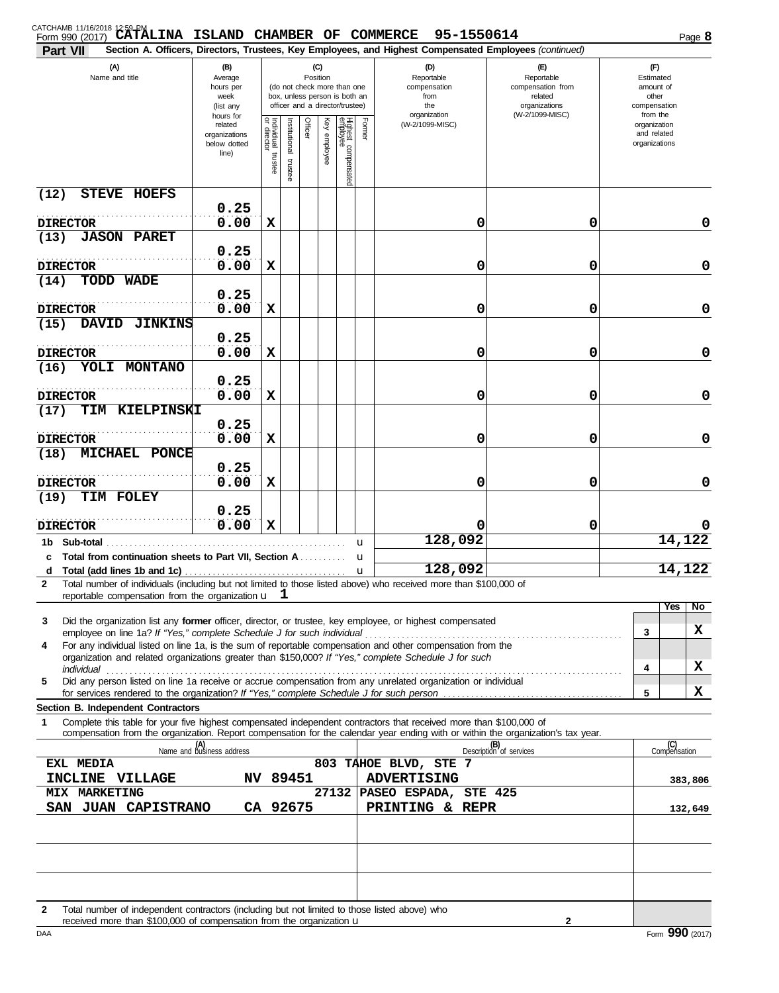## CATCHAMB 11/16/2018 12:59 PM<br>Form 990 (2017) **CATALINA ISLAND CHAMBER OF COMMERCE 95-1550614** Page 8

| Part VII                                                                                                                                                                                                                                                    |                                  |                                   |               |         |              |                                                                  |             | Section A. Officers, Directors, Trustees, Key Employees, and Highest Compensated Employees (continued) |                                 |                             |             |
|-------------------------------------------------------------------------------------------------------------------------------------------------------------------------------------------------------------------------------------------------------------|----------------------------------|-----------------------------------|---------------|---------|--------------|------------------------------------------------------------------|-------------|--------------------------------------------------------------------------------------------------------|---------------------------------|-----------------------------|-------------|
| (A)                                                                                                                                                                                                                                                         | (B)                              |                                   |               |         | (C)          |                                                                  |             | (D)                                                                                                    | (F)                             | $(\mathsf{F})$              |             |
| Name and title                                                                                                                                                                                                                                              | Average<br>hours per             |                                   |               |         | Position     | (do not check more than one                                      |             | Reportable<br>compensation                                                                             | Reportable<br>compensation from | Estimated<br>amount of      |             |
|                                                                                                                                                                                                                                                             | week<br>(list any                |                                   |               |         |              | box, unless person is both an<br>officer and a director/trustee) |             | from<br>the                                                                                            | related<br>organizations        | other<br>compensation       |             |
|                                                                                                                                                                                                                                                             | hours for                        |                                   |               |         |              |                                                                  |             | organization                                                                                           | (W-2/1099-MISC)                 | from the                    |             |
|                                                                                                                                                                                                                                                             | related<br>organizations         |                                   | Institutional | Officer | Key employee |                                                                  | Former      | (W-2/1099-MISC)                                                                                        |                                 | organization<br>and related |             |
|                                                                                                                                                                                                                                                             | below dotted                     |                                   |               |         |              |                                                                  |             |                                                                                                        |                                 | organizations               |             |
|                                                                                                                                                                                                                                                             | line)                            | Individual trustee<br>or director | trustee       |         |              |                                                                  |             |                                                                                                        |                                 |                             |             |
|                                                                                                                                                                                                                                                             |                                  |                                   |               |         |              | Highest compensated<br>employee                                  |             |                                                                                                        |                                 |                             |             |
| (12)<br><b>STEVE HOEFS</b>                                                                                                                                                                                                                                  |                                  |                                   |               |         |              |                                                                  |             |                                                                                                        |                                 |                             |             |
|                                                                                                                                                                                                                                                             | 0.25                             |                                   |               |         |              |                                                                  |             |                                                                                                        |                                 |                             |             |
| <b>DIRECTOR</b>                                                                                                                                                                                                                                             | 0.00                             | X                                 |               |         |              |                                                                  |             | 0                                                                                                      | 0                               |                             | 0           |
| <b>JASON PARET</b><br>(13)                                                                                                                                                                                                                                  |                                  |                                   |               |         |              |                                                                  |             |                                                                                                        |                                 |                             |             |
|                                                                                                                                                                                                                                                             | 0.25                             |                                   |               |         |              |                                                                  |             |                                                                                                        |                                 |                             |             |
| <b>DIRECTOR</b>                                                                                                                                                                                                                                             | 0.00                             | X                                 |               |         |              |                                                                  |             | 0                                                                                                      | 0                               |                             | $\mathbf 0$ |
| TODD WADE<br>(14)                                                                                                                                                                                                                                           | 0.25                             |                                   |               |         |              |                                                                  |             |                                                                                                        |                                 |                             |             |
| <b>DIRECTOR</b>                                                                                                                                                                                                                                             | 0.00                             | X                                 |               |         |              |                                                                  |             | 0                                                                                                      | 0                               |                             | $\mathbf 0$ |
| <b>JINKINS</b><br>(15)<br><b>DAVID</b>                                                                                                                                                                                                                      |                                  |                                   |               |         |              |                                                                  |             |                                                                                                        |                                 |                             |             |
|                                                                                                                                                                                                                                                             | 0.25                             |                                   |               |         |              |                                                                  |             |                                                                                                        |                                 |                             |             |
| <b>DIRECTOR</b>                                                                                                                                                                                                                                             | 0.00                             | X                                 |               |         |              |                                                                  |             | 0                                                                                                      | 0                               |                             | $\mathbf 0$ |
| YOLI MONTANO<br>(16)                                                                                                                                                                                                                                        |                                  |                                   |               |         |              |                                                                  |             |                                                                                                        |                                 |                             |             |
|                                                                                                                                                                                                                                                             | 0.25                             |                                   |               |         |              |                                                                  |             |                                                                                                        |                                 |                             |             |
| <b>DIRECTOR</b>                                                                                                                                                                                                                                             | 0.00                             | X                                 |               |         |              |                                                                  |             | 0                                                                                                      | 0                               |                             | 0           |
| TIM KIELPINSKI<br>(17)                                                                                                                                                                                                                                      |                                  |                                   |               |         |              |                                                                  |             |                                                                                                        |                                 |                             |             |
|                                                                                                                                                                                                                                                             | 0.25                             |                                   |               |         |              |                                                                  |             |                                                                                                        |                                 |                             |             |
| <b>DIRECTOR</b>                                                                                                                                                                                                                                             | 0.00                             | X                                 |               |         |              |                                                                  |             | 0                                                                                                      | 0                               |                             | 0           |
| MICHAEL PONCE<br>(18)                                                                                                                                                                                                                                       | 0.25                             |                                   |               |         |              |                                                                  |             |                                                                                                        |                                 |                             |             |
| <b>DIRECTOR</b>                                                                                                                                                                                                                                             | 0.00                             | X                                 |               |         |              |                                                                  |             | 0                                                                                                      | 0                               |                             | 0           |
| TIM FOLEY<br>(19)                                                                                                                                                                                                                                           |                                  |                                   |               |         |              |                                                                  |             |                                                                                                        |                                 |                             |             |
|                                                                                                                                                                                                                                                             | 0.25                             |                                   |               |         |              |                                                                  |             |                                                                                                        |                                 |                             |             |
| <b>DIRECTOR</b>                                                                                                                                                                                                                                             | 0.00                             | $\mathbf x$                       |               |         |              |                                                                  |             | 0                                                                                                      | 0                               |                             |             |
| 1b Sub-total                                                                                                                                                                                                                                                |                                  |                                   |               |         |              |                                                                  | u           | 128,092                                                                                                |                                 |                             | 14,122      |
| Total from continuation sheets to Part VII, Section A.                                                                                                                                                                                                      |                                  |                                   |               |         |              |                                                                  | u           |                                                                                                        |                                 |                             |             |
|                                                                                                                                                                                                                                                             |                                  |                                   |               |         |              |                                                                  | $\mathbf u$ | 128,092                                                                                                |                                 | 14,122                      |             |
| Total number of individuals (including but not limited to those listed above) who received more than \$100,000 of                                                                                                                                           |                                  |                                   |               |         |              |                                                                  |             |                                                                                                        |                                 |                             |             |
| reportable compensation from the organization u                                                                                                                                                                                                             |                                  |                                   | ı             |         |              |                                                                  |             |                                                                                                        |                                 | <b>Yes</b>                  | No          |
| Did the organization list any former officer, director, or trustee, key employee, or highest compensated<br>3                                                                                                                                               |                                  |                                   |               |         |              |                                                                  |             |                                                                                                        |                                 |                             |             |
| employee on line 1a? If "Yes," complete Schedule J for such individual                                                                                                                                                                                      |                                  |                                   |               |         |              |                                                                  |             |                                                                                                        |                                 | 3                           | x           |
| For any individual listed on line 1a, is the sum of reportable compensation and other compensation from the<br>4<br>organization and related organizations greater than \$150,000? If "Yes," complete Schedule J for such                                   |                                  |                                   |               |         |              |                                                                  |             |                                                                                                        |                                 |                             |             |
| individual with the contract of the contract of the contract of the contract of the contract of the contract o                                                                                                                                              |                                  |                                   |               |         |              |                                                                  |             |                                                                                                        |                                 | 4                           | X           |
| Did any person listed on line 1a receive or accrue compensation from any unrelated organization or individual<br>5                                                                                                                                          |                                  |                                   |               |         |              |                                                                  |             |                                                                                                        |                                 |                             |             |
|                                                                                                                                                                                                                                                             |                                  |                                   |               |         |              |                                                                  |             |                                                                                                        |                                 | 5                           | X           |
| Section B. Independent Contractors                                                                                                                                                                                                                          |                                  |                                   |               |         |              |                                                                  |             |                                                                                                        |                                 |                             |             |
| Complete this table for your five highest compensated independent contractors that received more than \$100,000 of<br>1<br>compensation from the organization. Report compensation for the calendar year ending with or within the organization's tax year. |                                  |                                   |               |         |              |                                                                  |             |                                                                                                        |                                 |                             |             |
|                                                                                                                                                                                                                                                             | (A)<br>Name and business address |                                   |               |         |              |                                                                  |             |                                                                                                        | (B)<br>Description of services  | (C)<br>Compensation         |             |
| EXL MEDIA                                                                                                                                                                                                                                                   |                                  |                                   |               |         |              |                                                                  |             | 803 TAHOE BLVD, STE 7                                                                                  |                                 |                             |             |
| INCLINE VILLAGE                                                                                                                                                                                                                                             |                                  |                                   | NV 89451      |         |              |                                                                  |             | <b>ADVERTISING</b>                                                                                     |                                 |                             | 383,806     |
| <b>MIX MARKETING</b>                                                                                                                                                                                                                                        |                                  |                                   |               |         |              |                                                                  |             | 27132 PASEO ESPADA,                                                                                    | <b>STE 425</b>                  |                             |             |
| SAN JUAN CAPISTRANO                                                                                                                                                                                                                                         |                                  |                                   | CA 92675      |         |              |                                                                  |             | PRINTING & REPR                                                                                        |                                 |                             | 132,649     |
|                                                                                                                                                                                                                                                             |                                  |                                   |               |         |              |                                                                  |             |                                                                                                        |                                 |                             |             |
|                                                                                                                                                                                                                                                             |                                  |                                   |               |         |              |                                                                  |             |                                                                                                        |                                 |                             |             |
|                                                                                                                                                                                                                                                             |                                  |                                   |               |         |              |                                                                  |             |                                                                                                        |                                 |                             |             |
|                                                                                                                                                                                                                                                             |                                  |                                   |               |         |              |                                                                  |             |                                                                                                        |                                 |                             |             |
|                                                                                                                                                                                                                                                             |                                  |                                   |               |         |              |                                                                  |             |                                                                                                        |                                 |                             |             |
|                                                                                                                                                                                                                                                             |                                  |                                   |               |         |              |                                                                  |             |                                                                                                        |                                 |                             |             |

**2**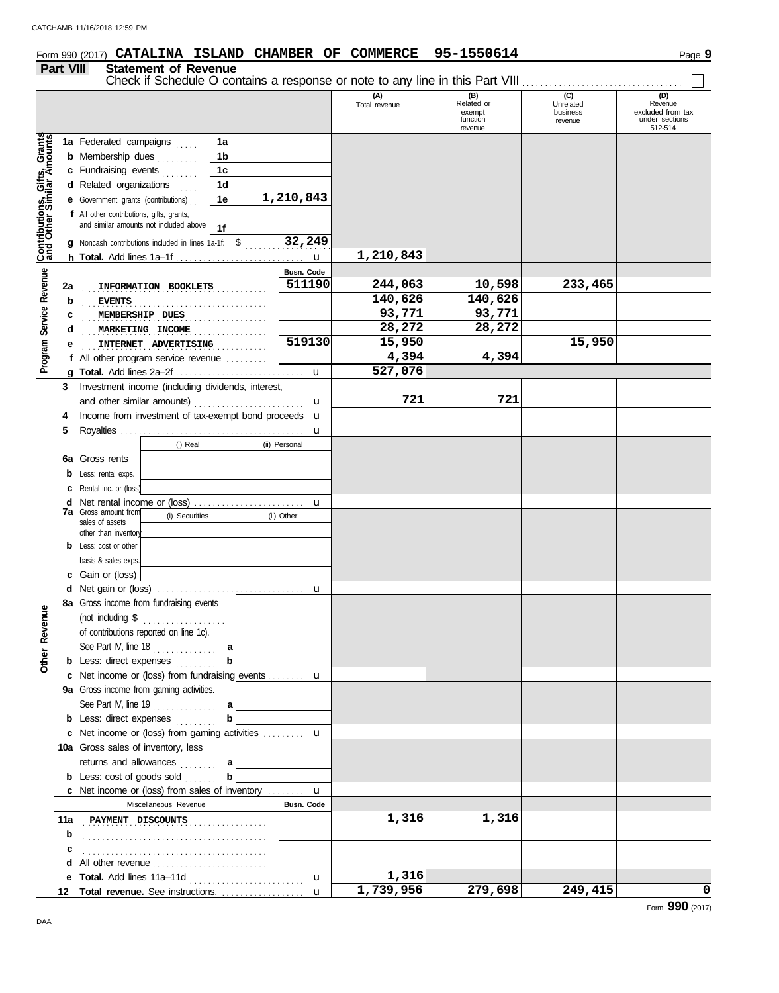## **Form 990 (2017) CATALINA ISLAND CHAMBER OF COMMERCE 95-1550614** Page 9 **Part VIII Statement of Revenue** Check if Schedule O contains a response or note to any line in this Part VIII . . . . . . . . . . . . . . . . . . . . . . . . . . . . . . . . . . . **(B) (C) (D)**<br> **Related** or **Unrelated Revenue** (A)<br>Total revenue exempt business excluded from tax function revenue under sections revenue 512-514 Contributions, Gifts, Grants<br>and Other Similar Amounts **Contributions, Gifts, Grants and Other Similar Amounts 1a** Federated campaigns . . . . . **1a 1b b** Membership dues . . . . . . . . **1c c** Fundraising events **. . . . . . . 1d d** Related organizations ..... **1e 1,210,843 e** Government grants (contributions) . . **f** All other contributions, gifts, grants, and similar amounts not included above **1f 32,249 g** Noncash contributions included in lines 1a-1f:  $\frac{1}{2}$ ,  $\frac{32}{12}$ ,  $\frac{249}{12}$ **1,210,843 h Total.** Add lines 1a–1f . . . . . . . . . . . . . . . . . . . . . . . . . . . . u Revenue **Busn. Code Program Service Revenue** . . . . . . . . . . . . . . . . . . . . . . . . . . . . . . . . . . . . . . . . **2a INFORMATION BOOKLETS 511190 244,063 10,598 233,465** . . . . . . . . . . . . . . . . . . . . . . . . . . . . . . . . . . . . . . . . **b EVENTS 140,626 140,626** Program Service **c** . MEMBERSHIP DUES . . . . . . . . . . . . . . . . 93,771 . . . 93,771 **d** MARKETING INCOME 28,272 . . . . . . . . . . . . . . . . . . . . . . . . . . . . . . . . . . . . . . . . **INTERNET ADVERTISING 519130 15,950 15,950 e 4,394 4,394 f** All other program service revenue . . . . . . . . . **527,076 g Total.** Add lines 2a–2f . . . . . . . . . . . . . . . . . . . . . . . . . . . . u **3** Investment income (including dividends, interest, **721 721** and other similar amounts) ......................... u 4 Income from investment of tax-exempt bond proceeds **u 5** Royalties . . . . . . . . . . . . . . . . . . . . . . . . . . . . . . . . . . . . . . . . u (i) Real (ii) Personal **6a** Gross rents **b** Less: rental exps. **c** Rental inc. or (loss) u **d** Net rental income or (loss) . . . . . . . . . . . . . . . . . . . . . . . . **7a** Gross amount from (i) Securities (ii) Other sales of assets other than inventor **b** Less: cost or other basis & sales exps. **c** Gain or (loss) **d** u Net gain or (loss) . . . . . . . . . . . . . . . . . . . . . . . . . . . . . . . . **8a** Gross income from fundraising events Revenue **Other Revenue** (not including \$ . . . . . . . . . . . . . . . . . . of contributions reported on line 1c). See Part IV, line 18 . . . . . . . . . . . . . . **a Other b b** Less: direct expenses . . . . . . . . u **c** Net income or (loss) from fundraising events . . . . . . . . **9a** Gross income from gaming activities. See Part IV, line 19 . . . . . . . . . . . . . . **a b b** Less: direct expenses **. . . . . . . .** Net income or (loss) from gaming activities . . . . . . . . . **c** u 10a Gross sales of inventory, less returns and allowances . . . . . . . . **a b** Less: cost of goods sold . . . . . . **b** Net income or (loss) from sales of inventory . . . . . . . . **c** u Miscellaneous Revenue **Busn. Code 11a** . PAYMENT DISCOUNTS . . . . . . . . . . . . . . . . . . 1,316 . . . . 1,316 **b** . . . . . . . . . . . . . . . . . . . . . . . . . . . . . . . . . . . . . . . . **c** . . . . . . . . . . . . . . . . . . . . . . . . . . . . . . . . . . . . . . . . **d** All other revenue . . . . . . . . . . . . . . . . . . . . . . . . . **1,316** u **e Total.** Add lines 11a–11d . . . . . . . . . . . . . . . . . . . . . . . . .

**1,739,956 279,698 249,415 0**

**12**

**Total revenue.** See instructions. . . . . . . . . . . . . . . . . . .

u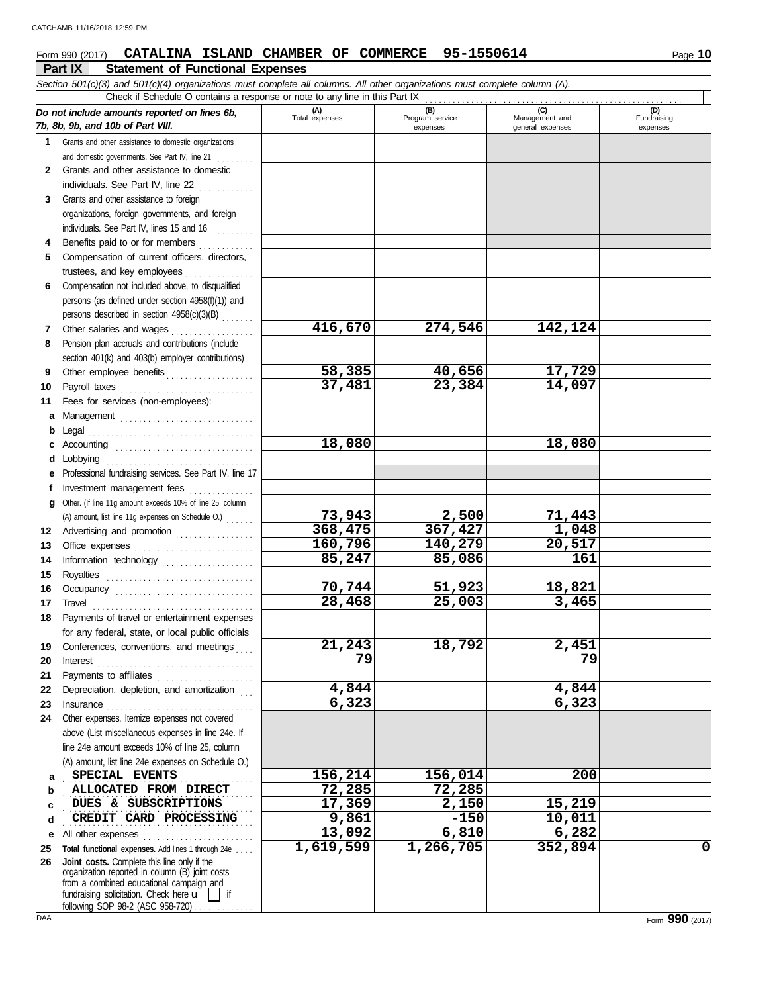**Part IX Statement of Functional Expenses Form 990 (2017) CATALINA ISLAND CHAMBER OF COMMERCE 95-1550614** Page 10 *Section 501(c)(3) and 501(c)(4) organizations must complete all columns. All other organizations must complete column (A). Do not include amounts reported on lines 6b, 7b, 8b, 9b, and 10b of Part VIII.* **1 2** Grants and other assistance to domestic **3** Grants and other assistance to foreign **4** Benefits paid to or for members **.........**... **5** Compensation of current officers, directors, **6** Compensation not included above, to disqualified **7** Other salaries and wages **. . . . . . . . . . . . .** . . . **8** Pension plan accruals and contributions (include **9 10 11** Fees for services (non-employees): **a** Management . . . . . . . . . . . . . . . . . . . . . . . . . . . . . **b** Legal **c** Accounting . . . . . . . . . . . . . . . . . . . . . . . . . . . . . . **d** Lobbying ................................. **e** Professional fundraising services. See Part IV, line 17 **f** Investment management fees . . . . . . . . . . . . **g** Other. (If line 11g amount exceeds 10% of line 25, column **12** Advertising and promotion . . . . . . . . . . . . . . . . **13** Office expenses . . . . . . . . . . . . . . . . . . . . . . . . . . **14 15 16 17 18 19 20 21 22 23 24** Other expenses. Itemize expenses not covered **a b c d e 25 26** Grants and other assistance to domestic organizations and domestic governments. See Part IV, line 21 individuals. See Part IV, line 22 organizations, foreign governments, and foreign individuals. See Part IV, lines 15 and 16 trustees, and key employees ............... persons (as defined under section 4958(f)(1)) and persons described in section  $4958(c)(3)(B)$  ...... section 401(k) and 403(b) employer contributions) Other employee benefits . . . . . . . . . . . . . . . . . . . Payroll taxes . . . . . . . . . . . . . . . . . . . . . . . . . . . . . . . . . . . . . . . . . . . . . . . . . . . . . . . . . . . . . . . . . Information technology . . . . . . . . . . . . . . . . . . . . Royalties . . . . . . . . . . . . . . . . . . . . . . . . . . . . . . . . Occupancy . . . . . . . . . . . . . . . . . . . . . . . . . . . . . . Travel . . . . . . . . . . . . . . . . . . . . . . . . . . . . . . . . . . . Payments of travel or entertainment expenses for any federal, state, or local public officials Conferences, conventions, and meetings Interest . . . . . . . . . . . . . . . . . . . . . . . . . . . . . . . . . . Payments to affiliates . . . . . . . . . . . . . . . . . . . . . Depreciation, depletion, and amortization Insurance . . . . . . . . . . . . . . . . . . . . . . . . . . . . . . . . above (List miscellaneous expenses in line 24e. If line 24e amount exceeds 10% of line 25, column (A) amount, list line 24e expenses on Schedule O.) All other expenses . . . . . . . . . . . . . . . . . . . . . . . . Total functional expenses. Add lines 1 through 24e fundraising solicitation. Check here  $\mathbf{u}$  | if organization reported in column (B) joint costs from a combined educational campaign and **(A) (B) (C) (D)** Total expenses Program service Management and expenses general expenses  $(D)$ Fundraising expenses . . . . . . . . . . . . . . . . . . . . . . . . . . . . . . . . . . . . . . . . . **SPECIAL EVENTS 156,214 156,014 200** . . . . . . . . . . . . . . . . . . . . . . . . . . . . . . . . . . . . . . . . . **ALLOCATED FROM DIRECT 72,285 72,285 DUES & SUBSCRIPTIONS 17,369 2,150 15,219** . . . . . . . . . . . . . . . . . . . . . . . . . . . . . . . . . . . . . . . . . **CREDIT CARD PROCESSING 9,861 -150 10,011** Check if Schedule O contains a response or note to any line in this Part IX .........<br>amounts reported on lines 6b, Total expenses Program service **Joint costs.** Complete this line only if the (A) amount, list line 11g expenses on Schedule O.) . . . . . . **416,670 274,546 142,124 58,385 40,656 17,729 37,481 23,384 14,097 18,080 18,080 73,943 2,500 71,443 368,475 367,427 1,048 160,796 140,279 20,517 85,247 85,086 161 70,744 51,923 18,821 28,468 25,003 3,465 21,243 18,792 2,451 79 79 4,844 4,844 6,323 6,323 13,092 6,810 6,282 1,619,599 1,266,705 352,894 0**

following SOP 98-2 (ASC 958-720)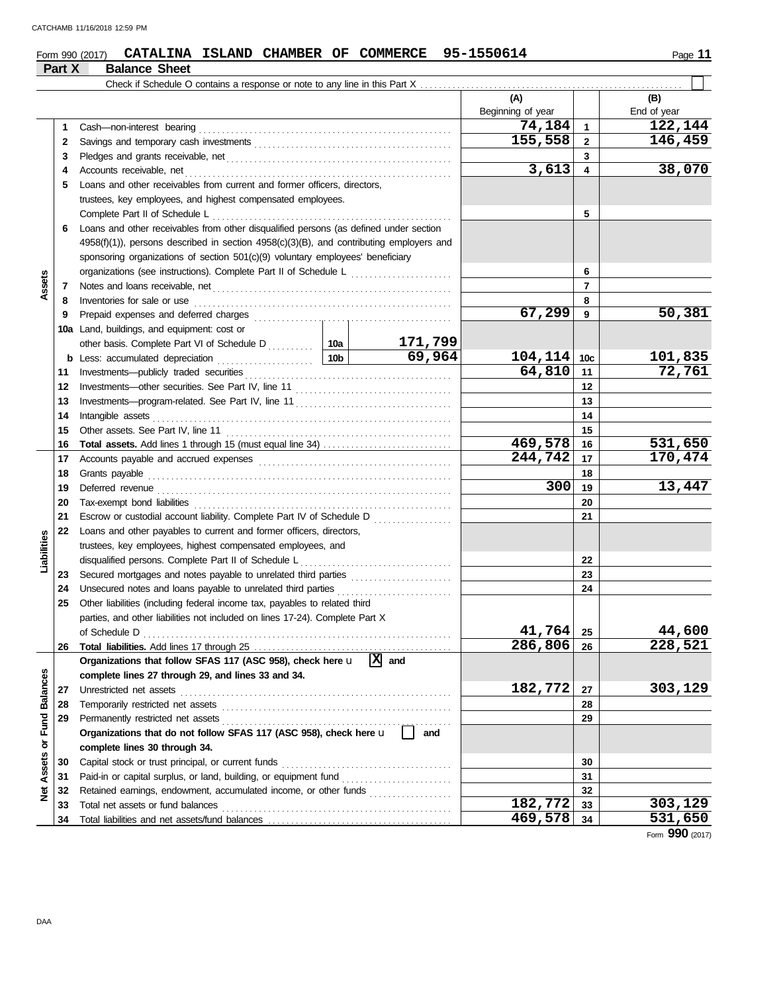|                             |          | CATALINA ISLAND CHAMBER OF COMMERCE 95-1550614<br>Form 990 (2017)                                                                                                 |                                       |                    |                          |                         | Page 11                                |
|-----------------------------|----------|-------------------------------------------------------------------------------------------------------------------------------------------------------------------|---------------------------------------|--------------------|--------------------------|-------------------------|----------------------------------------|
|                             | Part X   | <b>Balance Sheet</b>                                                                                                                                              |                                       |                    |                          |                         |                                        |
|                             |          |                                                                                                                                                                   |                                       |                    |                          |                         |                                        |
|                             |          |                                                                                                                                                                   |                                       |                    | (A)<br>Beginning of year |                         | (B)<br>End of year                     |
|                             | 1        | Cash-non-interest bearing                                                                                                                                         |                                       |                    | 74,184                   | $\mathbf{1}$            | 122,144                                |
|                             | 2        |                                                                                                                                                                   |                                       |                    | 155,558                  | $\overline{2}$          | $\overline{146}$ , 459                 |
|                             | 3        | Pledges and grants receivable, net contains and an array and grants receivable, net contains and grants receivable, net contains and array and grants receivable. |                                       |                    |                          | 3                       |                                        |
|                             | 4        | Accounts receivable, net                                                                                                                                          |                                       |                    | 3,613                    | $\overline{\mathbf{4}}$ | 38,070                                 |
|                             | 5        | Loans and other receivables from current and former officers, directors,                                                                                          |                                       |                    |                          |                         |                                        |
|                             |          | trustees, key employees, and highest compensated employees.                                                                                                       |                                       |                    |                          |                         |                                        |
|                             |          | Complete Part II of Schedule L                                                                                                                                    |                                       |                    |                          | 5                       |                                        |
|                             | 6        | Loans and other receivables from other disqualified persons (as defined under section                                                                             |                                       |                    |                          |                         |                                        |
|                             |          | $4958(f)(1)$ ), persons described in section $4958(c)(3)(B)$ , and contributing employers and                                                                     |                                       |                    |                          |                         |                                        |
|                             |          | sponsoring organizations of section 501(c)(9) voluntary employees' beneficiary                                                                                    |                                       |                    |                          |                         |                                        |
|                             |          | organizations (see instructions). Complete Part II of Schedule L                                                                                                  | <u> 1966 - Johann Stoff, martin a</u> | 6                  |                          |                         |                                        |
| Assets                      | 7        | Notes and loans receivable, net                                                                                                                                   |                                       |                    |                          | $\overline{7}$          |                                        |
|                             | 8        | Inventories for sale or use                                                                                                                                       |                                       |                    |                          | 8                       |                                        |
|                             | 9        | Prepaid expenses and deferred charges                                                                                                                             |                                       |                    | 67,299                   | 9                       | 50,381                                 |
|                             |          | 10a Land, buildings, and equipment: cost or                                                                                                                       |                                       |                    |                          |                         |                                        |
|                             |          | other basis. Complete Part VI of Schedule D<br>10a                                                                                                                |                                       | 171,799            |                          |                         |                                        |
|                             |          | <b>b</b> Less: accumulated depreciation                                                                                                                           | 10 <sub>b</sub>                       | 69,964             | 104, 114                 | 10 <sub>c</sub>         | 101,835                                |
|                             | 11       | Investments-publicly traded securities                                                                                                                            | 64,810                                | 11                 | 72,761                   |                         |                                        |
|                             | 12       | Investments-other securities. See Part IV, line 11                                                                                                                |                                       | 12                 |                          |                         |                                        |
|                             | 13       |                                                                                                                                                                   |                                       | 13                 |                          |                         |                                        |
|                             | 14       | Intangible assets                                                                                                                                                 |                                       |                    |                          | 14                      |                                        |
|                             | 15       | Other assets. See Part IV, line 11                                                                                                                                |                                       |                    |                          | 15                      |                                        |
|                             | 16       |                                                                                                                                                                   |                                       |                    | 469,578                  | 16                      | 531,650                                |
|                             | 17       |                                                                                                                                                                   |                                       |                    | 244,742                  | 17                      | 170,474                                |
|                             | 18       | Grants payable                                                                                                                                                    |                                       |                    | 300                      | 18                      |                                        |
|                             | 19       | Deferred revenue                                                                                                                                                  |                                       |                    |                          | 19                      | 13,447                                 |
|                             | 20       | Tax-exempt bond liabilities                                                                                                                                       |                                       |                    |                          | 20<br>21                |                                        |
|                             | 21<br>22 |                                                                                                                                                                   |                                       |                    |                          |                         |                                        |
| Liabilities                 |          | Loans and other payables to current and former officers, directors,<br>trustees, key employees, highest compensated employees, and                                |                                       |                    |                          |                         |                                        |
|                             |          | disqualified persons. Complete Part II of Schedule L                                                                                                              |                                       |                    |                          | 22                      |                                        |
|                             |          | 23 Secured mortgages and notes payable to unrelated third parties                                                                                                 |                                       |                    |                          | 23                      |                                        |
|                             |          | 24 Unsecured notes and loans payable to unrelated third parties                                                                                                   |                                       |                    |                          | 24                      |                                        |
|                             | 25       | Other liabilities (including federal income tax, payables to related third                                                                                        |                                       |                    |                          |                         |                                        |
|                             |          | parties, and other liabilities not included on lines 17-24). Complete Part X                                                                                      |                                       |                    |                          |                         |                                        |
|                             |          | of Schedule D                                                                                                                                                     |                                       |                    | 41,764                   | 25                      | 44,600                                 |
|                             | 26       |                                                                                                                                                                   |                                       |                    | 286, 806                 | 26                      | 228,521                                |
|                             |          | Organizations that follow SFAS 117 (ASC 958), check here u                                                                                                        |                                       | $\overline{X}$ and |                          |                         |                                        |
|                             |          | complete lines 27 through 29, and lines 33 and 34.                                                                                                                |                                       |                    |                          |                         |                                        |
|                             | 27       | Unrestricted net assets                                                                                                                                           |                                       |                    | 182,772                  | 27                      | 303,129                                |
|                             | 28       | Temporarily restricted net assets                                                                                                                                 |                                       |                    |                          | 28                      |                                        |
|                             | 29       | Permanently restricted net assets                                                                                                                                 |                                       |                    |                          | 29                      |                                        |
|                             |          | Organizations that do not follow SFAS 117 (ASC 958), check here u                                                                                                 | and                                   |                    |                          |                         |                                        |
|                             |          | complete lines 30 through 34.                                                                                                                                     |                                       |                    |                          |                         |                                        |
|                             | 30       | Capital stock or trust principal, or current funds                                                                                                                |                                       | 30                 |                          |                         |                                        |
| Net Assets or Fund Balances | 31       | Paid-in or capital surplus, or land, building, or equipment fund                                                                                                  |                                       | 31                 |                          |                         |                                        |
|                             | 32       | Retained earnings, endowment, accumulated income, or other funds                                                                                                  |                                       |                    |                          | 32                      |                                        |
|                             | 33       | Total net assets or fund balances                                                                                                                                 |                                       |                    | 182,772                  | 33                      | 303,129                                |
|                             | 34       |                                                                                                                                                                   |                                       |                    | 469,578                  | 34                      | 531,650<br>$T_{\text{c}}$ QQN $(2017)$ |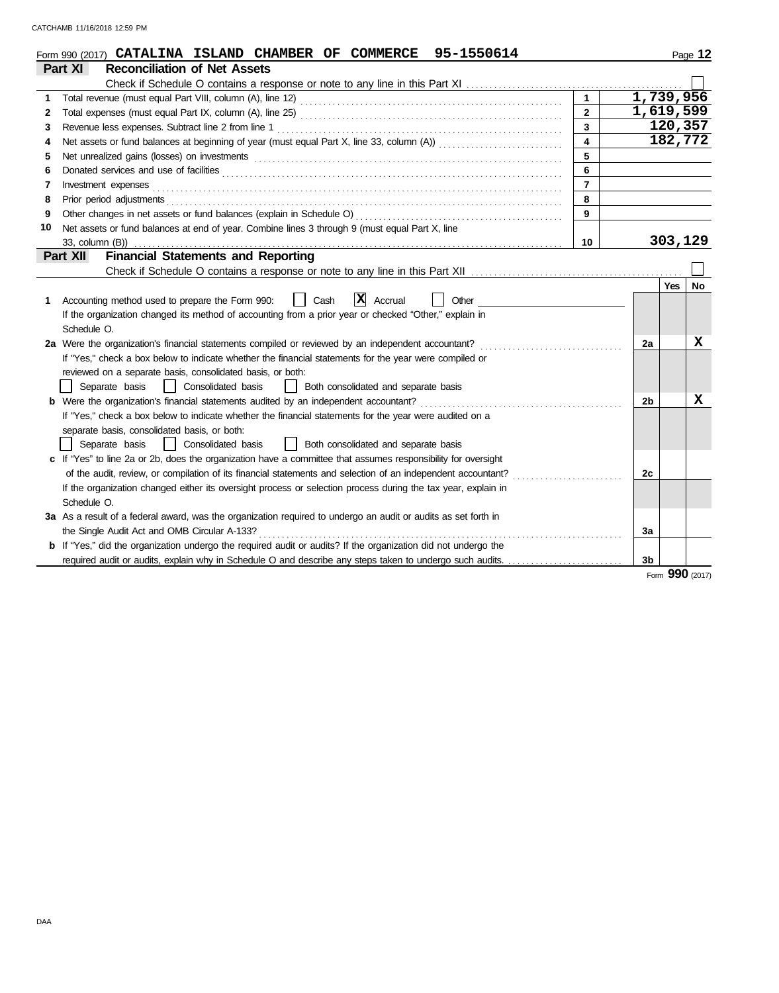|                                                              | Form 990 (2017) CATALINA ISLAND CHAMBER OF COMMERCE 95-1550614                                                        |                         |                |            | Page 12 |  |  |  |  |  |
|--------------------------------------------------------------|-----------------------------------------------------------------------------------------------------------------------|-------------------------|----------------|------------|---------|--|--|--|--|--|
|                                                              | Part XI<br><b>Reconciliation of Net Assets</b>                                                                        |                         |                |            |         |  |  |  |  |  |
|                                                              |                                                                                                                       |                         |                |            |         |  |  |  |  |  |
| 1                                                            |                                                                                                                       |                         | 1,739,956      |            |         |  |  |  |  |  |
| 2                                                            |                                                                                                                       | $\overline{2}$          | 1,619,599      |            |         |  |  |  |  |  |
| 3                                                            | Revenue less expenses. Subtract line 2 from line 1                                                                    | $\overline{\mathbf{3}}$ |                | 120,357    |         |  |  |  |  |  |
| 4                                                            |                                                                                                                       | $\overline{\mathbf{4}}$ |                | 182,772    |         |  |  |  |  |  |
| 5                                                            |                                                                                                                       | 5                       |                |            |         |  |  |  |  |  |
| 6                                                            |                                                                                                                       | 6                       |                |            |         |  |  |  |  |  |
| 7                                                            | Investment expenses                                                                                                   | $\overline{7}$          |                |            |         |  |  |  |  |  |
| 8                                                            | Prior period adjustments entertainments and a statement of the statement of the statement of the statement of         | 8                       |                |            |         |  |  |  |  |  |
| 9                                                            |                                                                                                                       | 9                       |                |            |         |  |  |  |  |  |
| 10                                                           | Net assets or fund balances at end of year. Combine lines 3 through 9 (must equal Part X, line                        |                         |                |            |         |  |  |  |  |  |
|                                                              | 33, column (B))                                                                                                       | 10                      |                | 303,129    |         |  |  |  |  |  |
| <b>Financial Statements and Reporting</b><br><b>Part XII</b> |                                                                                                                       |                         |                |            |         |  |  |  |  |  |
|                                                              |                                                                                                                       |                         |                |            |         |  |  |  |  |  |
|                                                              |                                                                                                                       |                         |                | <b>Yes</b> | No      |  |  |  |  |  |
| 1                                                            | x <br>Accounting method used to prepare the Form 990:<br>Cash<br>Accrual<br>Other                                     |                         |                |            |         |  |  |  |  |  |
|                                                              | If the organization changed its method of accounting from a prior year or checked "Other," explain in                 |                         |                |            |         |  |  |  |  |  |
|                                                              | Schedule O.                                                                                                           |                         |                |            |         |  |  |  |  |  |
|                                                              | 2a Were the organization's financial statements compiled or reviewed by an independent accountant?                    |                         | 2a             |            | x       |  |  |  |  |  |
|                                                              | If "Yes," check a box below to indicate whether the financial statements for the year were compiled or                |                         |                |            |         |  |  |  |  |  |
|                                                              | reviewed on a separate basis, consolidated basis, or both:                                                            |                         |                |            |         |  |  |  |  |  |
|                                                              | Separate basis<br>  Consolidated basis<br>Both consolidated and separate basis<br>$\mathbf{1}$                        |                         |                |            |         |  |  |  |  |  |
|                                                              | <b>b</b> Were the organization's financial statements audited by an independent accountant?                           |                         | 2b             |            | X       |  |  |  |  |  |
|                                                              | If "Yes," check a box below to indicate whether the financial statements for the year were audited on a               |                         |                |            |         |  |  |  |  |  |
|                                                              | separate basis, consolidated basis, or both:                                                                          |                         |                |            |         |  |  |  |  |  |
|                                                              | Separate basis<br>  Consolidated basis<br>Both consolidated and separate basis                                        |                         |                |            |         |  |  |  |  |  |
|                                                              | c If "Yes" to line 2a or 2b, does the organization have a committee that assumes responsibility for oversight         |                         |                |            |         |  |  |  |  |  |
|                                                              | of the audit, review, or compilation of its financial statements and selection of an independent accountant?          |                         | 2c             |            |         |  |  |  |  |  |
|                                                              | If the organization changed either its oversight process or selection process during the tax year, explain in         |                         |                |            |         |  |  |  |  |  |
|                                                              | Schedule O.                                                                                                           |                         |                |            |         |  |  |  |  |  |
|                                                              | 3a As a result of a federal award, was the organization required to undergo an audit or audits as set forth in        |                         |                |            |         |  |  |  |  |  |
|                                                              | the Single Audit Act and OMB Circular A-133?                                                                          |                         | 3a             |            |         |  |  |  |  |  |
|                                                              | <b>b</b> If "Yes," did the organization undergo the required audit or audits? If the organization did not undergo the |                         |                |            |         |  |  |  |  |  |
|                                                              |                                                                                                                       |                         | 3 <sub>b</sub> |            |         |  |  |  |  |  |

Form **990** (2017)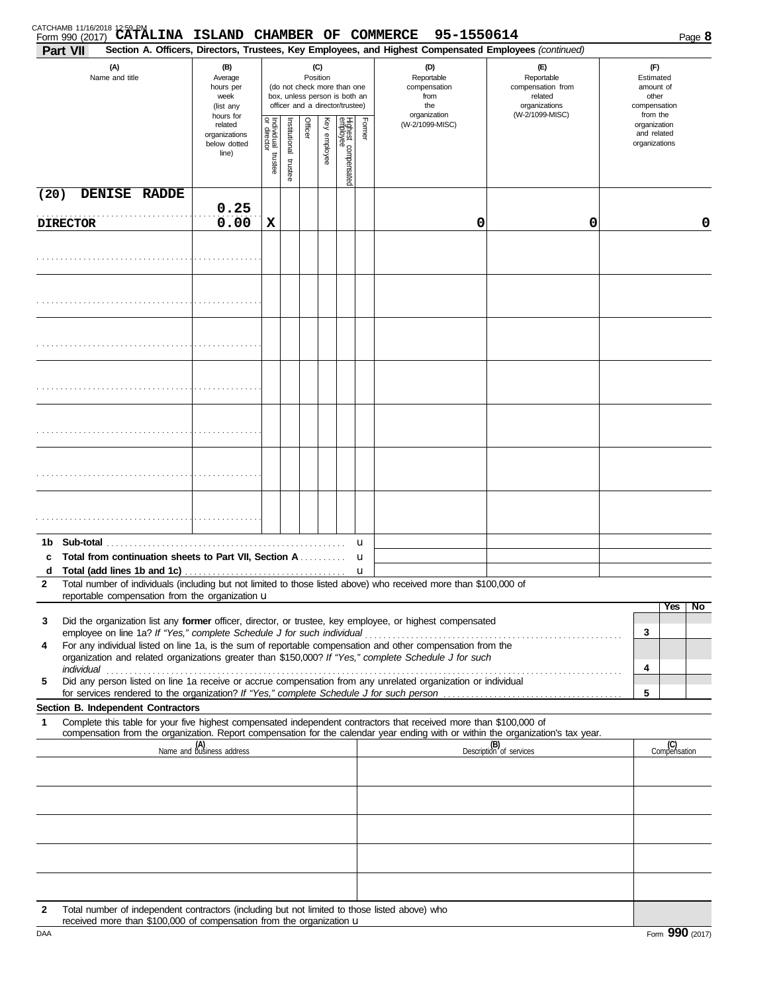| <b>Part VII</b>       | CATCHAMB 11/16/2018 12:59 PM<br>Form 990 (2017) CATALINA ISLAND CHAMBER OF COMMERCE |                                                               |                                                                                                                    |                          |         |              |                                 |        | 95-1550614<br>Section A. Officers, Directors, Trustees, Key Employees, and Highest Compensated Employees (continued)                                                                                                                                                                                                             |                                                                                                                                  | Page 8                                                             |
|-----------------------|-------------------------------------------------------------------------------------|---------------------------------------------------------------|--------------------------------------------------------------------------------------------------------------------|--------------------------|---------|--------------|---------------------------------|--------|----------------------------------------------------------------------------------------------------------------------------------------------------------------------------------------------------------------------------------------------------------------------------------------------------------------------------------|----------------------------------------------------------------------------------------------------------------------------------|--------------------------------------------------------------------|
| (A)<br>Name and title |                                                                                     | (B)<br>Average<br>hours per<br>week<br>(list any<br>hours for | (C)<br>Position<br>(do not check more than one<br>box, unless person is both an<br>officer and a director/trustee) |                          |         |              |                                 |        | (D)<br>Reportable<br>compensation<br>from<br>the<br>organization                                                                                                                                                                                                                                                                 | (E)<br>Reportable<br>compensation from<br>related<br>organizations<br>(W-2/1099-MISC)                                            | (F)<br>Estimated<br>amount of<br>other<br>compensation<br>from the |
|                       |                                                                                     | related<br>organizations<br>below dotted<br>line)             | Individual trustee<br>or director                                                                                  | Institutional<br>trustee | Officer | Key employee | Highest compensated<br>employee | Former | (W-2/1099-MISC)                                                                                                                                                                                                                                                                                                                  |                                                                                                                                  | organization<br>and related<br>organizations                       |
| (20)                  | DENISE RADDE                                                                        |                                                               |                                                                                                                    |                          |         |              |                                 |        |                                                                                                                                                                                                                                                                                                                                  |                                                                                                                                  |                                                                    |
| <b>DIRECTOR</b>       |                                                                                     | 0.25<br>0.00                                                  | $\mathbf x$                                                                                                        |                          |         |              |                                 |        | 0                                                                                                                                                                                                                                                                                                                                | 0                                                                                                                                | 0                                                                  |
|                       |                                                                                     |                                                               |                                                                                                                    |                          |         |              |                                 |        |                                                                                                                                                                                                                                                                                                                                  |                                                                                                                                  |                                                                    |
|                       |                                                                                     |                                                               |                                                                                                                    |                          |         |              |                                 |        |                                                                                                                                                                                                                                                                                                                                  |                                                                                                                                  |                                                                    |
|                       |                                                                                     |                                                               |                                                                                                                    |                          |         |              |                                 |        |                                                                                                                                                                                                                                                                                                                                  |                                                                                                                                  |                                                                    |
|                       |                                                                                     |                                                               |                                                                                                                    |                          |         |              |                                 |        |                                                                                                                                                                                                                                                                                                                                  |                                                                                                                                  |                                                                    |
|                       |                                                                                     |                                                               |                                                                                                                    |                          |         |              |                                 |        |                                                                                                                                                                                                                                                                                                                                  |                                                                                                                                  |                                                                    |
|                       |                                                                                     |                                                               |                                                                                                                    |                          |         |              |                                 |        |                                                                                                                                                                                                                                                                                                                                  |                                                                                                                                  |                                                                    |
|                       |                                                                                     |                                                               |                                                                                                                    |                          |         |              |                                 |        |                                                                                                                                                                                                                                                                                                                                  |                                                                                                                                  |                                                                    |
| d                     | c Total from continuation sheets to Part VII, Section A                             |                                                               |                                                                                                                    |                          |         |              |                                 | u<br>u |                                                                                                                                                                                                                                                                                                                                  |                                                                                                                                  |                                                                    |
| $\mathbf{2}$          | reportable compensation from the organization u                                     |                                                               |                                                                                                                    |                          |         |              |                                 |        | Total number of individuals (including but not limited to those listed above) who received more than \$100,000 of                                                                                                                                                                                                                |                                                                                                                                  |                                                                    |
|                       |                                                                                     |                                                               |                                                                                                                    |                          |         |              |                                 |        |                                                                                                                                                                                                                                                                                                                                  |                                                                                                                                  | Yes<br>No                                                          |
| 3<br>4                |                                                                                     |                                                               |                                                                                                                    |                          |         |              |                                 |        | Did the organization list any former officer, director, or trustee, key employee, or highest compensated<br>For any individual listed on line 1a, is the sum of reportable compensation and other compensation from the<br>organization and related organizations greater than \$150,000? If "Yes," complete Schedule J for such |                                                                                                                                  | 3                                                                  |
| individual<br>5       |                                                                                     |                                                               |                                                                                                                    |                          |         |              |                                 |        | Did any person listed on line 1a receive or accrue compensation from any unrelated organization or individual                                                                                                                                                                                                                    |                                                                                                                                  | 4<br>5                                                             |
|                       | Section B. Independent Contractors                                                  |                                                               |                                                                                                                    |                          |         |              |                                 |        |                                                                                                                                                                                                                                                                                                                                  |                                                                                                                                  |                                                                    |
| 1                     |                                                                                     |                                                               |                                                                                                                    |                          |         |              |                                 |        | Complete this table for your five highest compensated independent contractors that received more than \$100,000 of                                                                                                                                                                                                               | compensation from the organization. Report compensation for the calendar year ending with or within the organization's tax year. |                                                                    |
|                       |                                                                                     | (A)<br>Name and business address                              |                                                                                                                    |                          |         |              |                                 |        |                                                                                                                                                                                                                                                                                                                                  | (B)<br>Description of services                                                                                                   | (C)<br>Compensation                                                |
|                       |                                                                                     |                                                               |                                                                                                                    |                          |         |              |                                 |        |                                                                                                                                                                                                                                                                                                                                  |                                                                                                                                  |                                                                    |
|                       |                                                                                     |                                                               |                                                                                                                    |                          |         |              |                                 |        |                                                                                                                                                                                                                                                                                                                                  |                                                                                                                                  |                                                                    |
|                       |                                                                                     |                                                               |                                                                                                                    |                          |         |              |                                 |        |                                                                                                                                                                                                                                                                                                                                  |                                                                                                                                  |                                                                    |
|                       |                                                                                     |                                                               |                                                                                                                    |                          |         |              |                                 |        |                                                                                                                                                                                                                                                                                                                                  |                                                                                                                                  |                                                                    |

**2** Total number of independent contractors (including but not limited to those listed above) who received more than \$100,000 of compensation from the organization u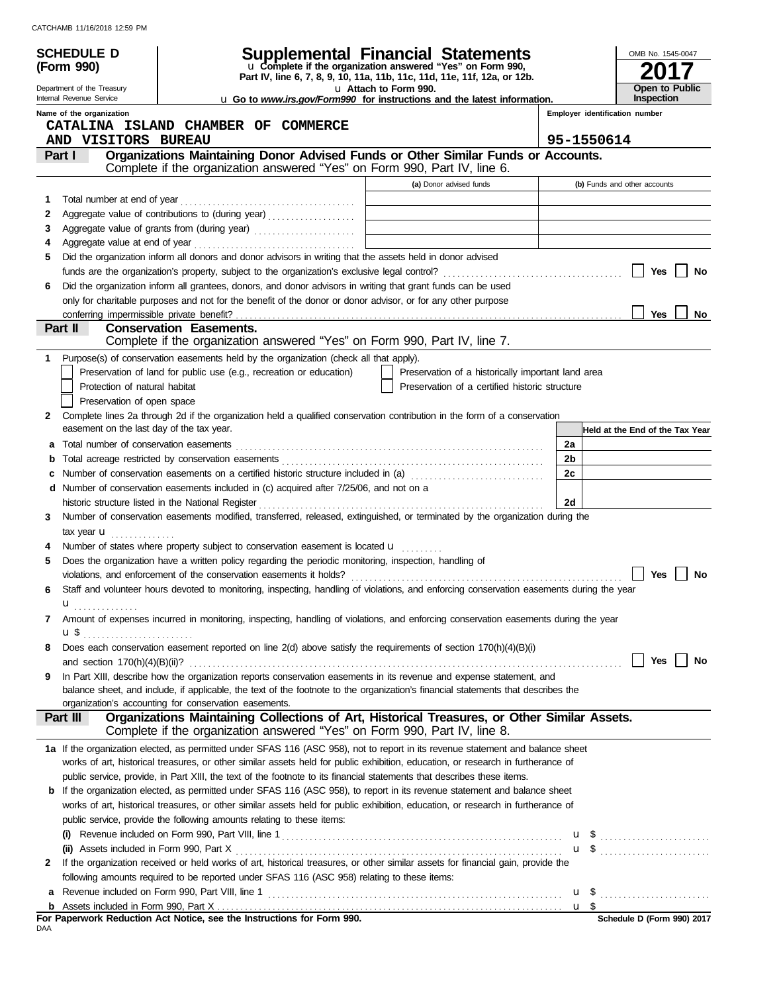CATCHAMB 11/16/2018 12:59 PM

|                                                                                                                                  | <b>SCHEDULE D</b>                                                                        |                                                                                                                                                                                                                              | <b>Supplemental Financial Statements</b>                                                                        |    |            | OMB No. 1545-0047               |  |
|----------------------------------------------------------------------------------------------------------------------------------|------------------------------------------------------------------------------------------|------------------------------------------------------------------------------------------------------------------------------------------------------------------------------------------------------------------------------|-----------------------------------------------------------------------------------------------------------------|----|------------|---------------------------------|--|
|                                                                                                                                  | (Form 990)                                                                               | u Complete if the organization answered "Yes" on Form 990,                                                                                                                                                                   |                                                                                                                 |    |            |                                 |  |
|                                                                                                                                  |                                                                                          |                                                                                                                                                                                                                              | Part IV, line 6, 7, 8, 9, 10, 11a, 11b, 11c, 11d, 11e, 11f, 12a, or 12b.                                        |    |            |                                 |  |
|                                                                                                                                  | Department of the Treasury<br>Internal Revenue Service                                   |                                                                                                                                                                                                                              | u Attach to Form 990.<br><b>u</b> Go to <i>www.irs.gov/Form990</i> for instructions and the latest information. |    |            | Open to Public<br>Inspection    |  |
|                                                                                                                                  | Name of the organization                                                                 |                                                                                                                                                                                                                              |                                                                                                                 |    |            | Employer identification number  |  |
|                                                                                                                                  |                                                                                          | CATALINA ISLAND CHAMBER OF COMMERCE                                                                                                                                                                                          |                                                                                                                 |    |            |                                 |  |
|                                                                                                                                  | AND VISITORS BUREAU                                                                      |                                                                                                                                                                                                                              |                                                                                                                 |    | 95-1550614 |                                 |  |
|                                                                                                                                  | Part I                                                                                   | Organizations Maintaining Donor Advised Funds or Other Similar Funds or Accounts.                                                                                                                                            |                                                                                                                 |    |            |                                 |  |
|                                                                                                                                  |                                                                                          | Complete if the organization answered "Yes" on Form 990, Part IV, line 6.                                                                                                                                                    |                                                                                                                 |    |            |                                 |  |
|                                                                                                                                  |                                                                                          |                                                                                                                                                                                                                              | (a) Donor advised funds                                                                                         |    |            | (b) Funds and other accounts    |  |
| 1                                                                                                                                | Total number at end of year                                                              |                                                                                                                                                                                                                              | <u> 1989 - Johann Barn, mars ann an t-Amhair an t-A</u>                                                         |    |            |                                 |  |
| 2                                                                                                                                |                                                                                          | Aggregate value of contributions to (during year) entitled and a material contributions of contributions to (during year)                                                                                                    |                                                                                                                 |    |            |                                 |  |
| 3                                                                                                                                | Aggregate value of grants from (during year) Materian Material Material Processor (2001) |                                                                                                                                                                                                                              |                                                                                                                 |    |            |                                 |  |
| 4                                                                                                                                |                                                                                          |                                                                                                                                                                                                                              |                                                                                                                 |    |            |                                 |  |
| 5                                                                                                                                |                                                                                          | Did the organization inform all donors and donor advisors in writing that the assets held in donor advised                                                                                                                   |                                                                                                                 |    |            |                                 |  |
|                                                                                                                                  |                                                                                          |                                                                                                                                                                                                                              |                                                                                                                 |    |            | <b>Yes</b><br>No                |  |
| 6                                                                                                                                |                                                                                          | Did the organization inform all grantees, donors, and donor advisors in writing that grant funds can be used<br>only for charitable purposes and not for the benefit of the donor or donor advisor, or for any other purpose |                                                                                                                 |    |            |                                 |  |
|                                                                                                                                  |                                                                                          |                                                                                                                                                                                                                              |                                                                                                                 |    |            | No<br>Yes                       |  |
|                                                                                                                                  | Part II                                                                                  | <b>Conservation Easements.</b>                                                                                                                                                                                               |                                                                                                                 |    |            |                                 |  |
|                                                                                                                                  |                                                                                          | Complete if the organization answered "Yes" on Form 990, Part IV, line 7.                                                                                                                                                    |                                                                                                                 |    |            |                                 |  |
| 1                                                                                                                                |                                                                                          | Purpose(s) of conservation easements held by the organization (check all that apply).                                                                                                                                        |                                                                                                                 |    |            |                                 |  |
|                                                                                                                                  |                                                                                          | Preservation of land for public use (e.g., recreation or education)                                                                                                                                                          | Preservation of a historically important land area                                                              |    |            |                                 |  |
|                                                                                                                                  | Protection of natural habitat                                                            |                                                                                                                                                                                                                              | Preservation of a certified historic structure                                                                  |    |            |                                 |  |
|                                                                                                                                  | Preservation of open space                                                               |                                                                                                                                                                                                                              |                                                                                                                 |    |            |                                 |  |
| 2                                                                                                                                |                                                                                          | Complete lines 2a through 2d if the organization held a qualified conservation contribution in the form of a conservation                                                                                                    |                                                                                                                 |    |            |                                 |  |
|                                                                                                                                  | easement on the last day of the tax year.                                                |                                                                                                                                                                                                                              |                                                                                                                 |    |            | Held at the End of the Tax Year |  |
| а                                                                                                                                | Total number of conservation easements                                                   |                                                                                                                                                                                                                              |                                                                                                                 | 2a |            |                                 |  |
| b                                                                                                                                |                                                                                          |                                                                                                                                                                                                                              |                                                                                                                 | 2b |            |                                 |  |
| с                                                                                                                                |                                                                                          | Number of conservation easements on a certified historic structure included in (a) [[[[[[[[[[[[[[[[[[[[[[[]]]]]]]                                                                                                            |                                                                                                                 | 2c |            |                                 |  |
| d                                                                                                                                |                                                                                          | Number of conservation easements included in (c) acquired after 7/25/06, and not on a                                                                                                                                        |                                                                                                                 |    |            |                                 |  |
|                                                                                                                                  |                                                                                          | historic structure listed in the National Register                                                                                                                                                                           |                                                                                                                 | 2d |            |                                 |  |
| 3                                                                                                                                |                                                                                          | Number of conservation easements modified, transferred, released, extinguished, or terminated by the organization during the                                                                                                 |                                                                                                                 |    |            |                                 |  |
|                                                                                                                                  | tax year <b>u</b>                                                                        |                                                                                                                                                                                                                              |                                                                                                                 |    |            |                                 |  |
|                                                                                                                                  |                                                                                          | Number of states where property subject to conservation easement is located u                                                                                                                                                |                                                                                                                 |    |            |                                 |  |
|                                                                                                                                  |                                                                                          | Does the organization have a written policy regarding the periodic monitoring, inspection, handling of                                                                                                                       |                                                                                                                 |    |            |                                 |  |
|                                                                                                                                  |                                                                                          |                                                                                                                                                                                                                              |                                                                                                                 |    |            |                                 |  |
| 6                                                                                                                                |                                                                                          | Staff and volunteer hours devoted to monitoring, inspecting, handling of violations, and enforcing conservation easements during the year                                                                                    |                                                                                                                 |    |            |                                 |  |
|                                                                                                                                  | $\mathbf{u}$ <sub></sub>                                                                 |                                                                                                                                                                                                                              |                                                                                                                 |    |            |                                 |  |
| 7                                                                                                                                |                                                                                          | Amount of expenses incurred in monitoring, inspecting, handling of violations, and enforcing conservation easements during the year                                                                                          |                                                                                                                 |    |            |                                 |  |
|                                                                                                                                  | <b>u</b> \$ <u></u>                                                                      |                                                                                                                                                                                                                              |                                                                                                                 |    |            |                                 |  |
| 8                                                                                                                                |                                                                                          | Does each conservation easement reported on line 2(d) above satisfy the requirements of section 170(h)(4)(B)(i)                                                                                                              |                                                                                                                 |    |            |                                 |  |
|                                                                                                                                  |                                                                                          |                                                                                                                                                                                                                              |                                                                                                                 |    |            | Yes<br>No                       |  |
| 9                                                                                                                                |                                                                                          | In Part XIII, describe how the organization reports conservation easements in its revenue and expense statement, and                                                                                                         |                                                                                                                 |    |            |                                 |  |
|                                                                                                                                  |                                                                                          | balance sheet, and include, if applicable, the text of the footnote to the organization's financial statements that describes the                                                                                            |                                                                                                                 |    |            |                                 |  |
|                                                                                                                                  |                                                                                          | organization's accounting for conservation easements.                                                                                                                                                                        |                                                                                                                 |    |            |                                 |  |
|                                                                                                                                  | Part III                                                                                 | Organizations Maintaining Collections of Art, Historical Treasures, or Other Similar Assets.                                                                                                                                 |                                                                                                                 |    |            |                                 |  |
|                                                                                                                                  |                                                                                          | Complete if the organization answered "Yes" on Form 990, Part IV, line 8.                                                                                                                                                    |                                                                                                                 |    |            |                                 |  |
|                                                                                                                                  |                                                                                          | 1a If the organization elected, as permitted under SFAS 116 (ASC 958), not to report in its revenue statement and balance sheet                                                                                              |                                                                                                                 |    |            |                                 |  |
|                                                                                                                                  |                                                                                          | works of art, historical treasures, or other similar assets held for public exhibition, education, or research in furtherance of                                                                                             |                                                                                                                 |    |            |                                 |  |
|                                                                                                                                  |                                                                                          | public service, provide, in Part XIII, the text of the footnote to its financial statements that describes these items.                                                                                                      |                                                                                                                 |    |            |                                 |  |
|                                                                                                                                  |                                                                                          | <b>b</b> If the organization elected, as permitted under SFAS 116 (ASC 958), to report in its revenue statement and balance sheet                                                                                            |                                                                                                                 |    |            |                                 |  |
| works of art, historical treasures, or other similar assets held for public exhibition, education, or research in furtherance of |                                                                                          |                                                                                                                                                                                                                              |                                                                                                                 |    |            |                                 |  |
|                                                                                                                                  |                                                                                          | public service, provide the following amounts relating to these items:                                                                                                                                                       |                                                                                                                 |    |            |                                 |  |
|                                                                                                                                  |                                                                                          |                                                                                                                                                                                                                              |                                                                                                                 |    |            |                                 |  |
|                                                                                                                                  | (ii) Assets included in Form 990, Part X                                                 |                                                                                                                                                                                                                              |                                                                                                                 |    |            |                                 |  |
| 2                                                                                                                                |                                                                                          | If the organization received or held works of art, historical treasures, or other similar assets for financial gain, provide the                                                                                             |                                                                                                                 |    |            |                                 |  |
|                                                                                                                                  |                                                                                          | following amounts required to be reported under SFAS 116 (ASC 958) relating to these items:                                                                                                                                  |                                                                                                                 |    |            |                                 |  |
| a                                                                                                                                |                                                                                          | Revenue included on Form 990, Part VIII, line 1                                                                                                                                                                              |                                                                                                                 |    | u \$       |                                 |  |
|                                                                                                                                  |                                                                                          |                                                                                                                                                                                                                              |                                                                                                                 |    |            |                                 |  |
| DAA                                                                                                                              |                                                                                          | For Paperwork Reduction Act Notice, see the Instructions for Form 990.                                                                                                                                                       |                                                                                                                 |    |            | Schedule D (Form 990) 2017      |  |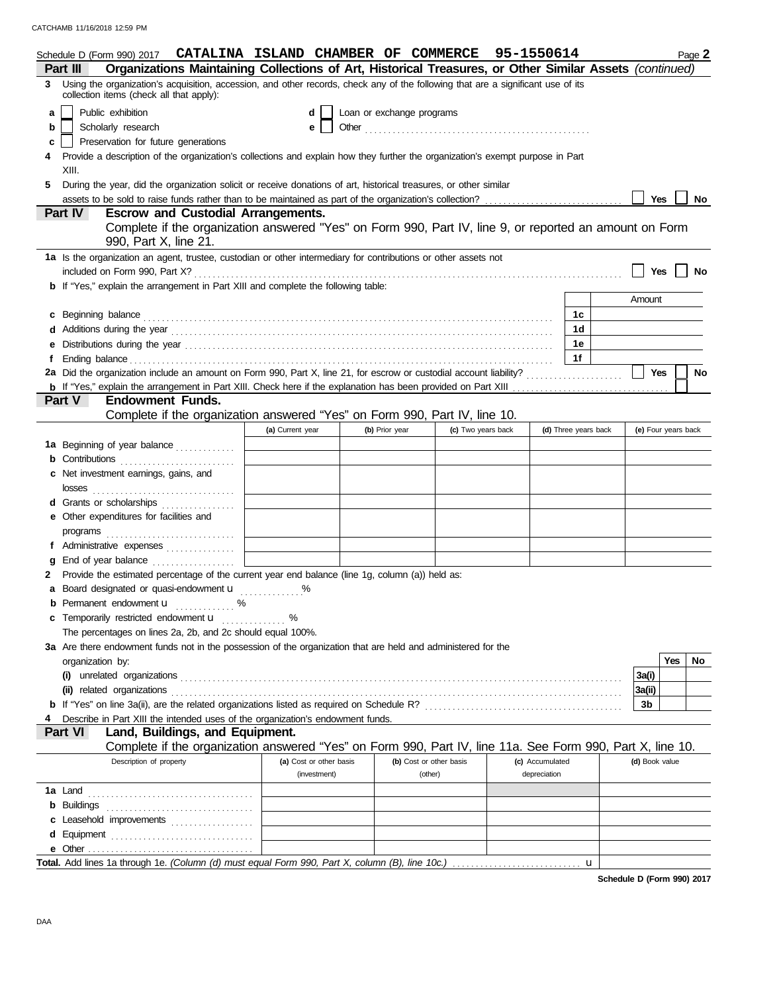|                                   |                                                                                                                                |                                          | Schedule D (Form 990) 2017 CATALINA ISLAND CHAMBER OF COMMERCE 95-1550614                                                                                                                                                      |                  |                                |                |         |                         |                 |              |                      |                | Page 2              |           |
|-----------------------------------|--------------------------------------------------------------------------------------------------------------------------------|------------------------------------------|--------------------------------------------------------------------------------------------------------------------------------------------------------------------------------------------------------------------------------|------------------|--------------------------------|----------------|---------|-------------------------|-----------------|--------------|----------------------|----------------|---------------------|-----------|
|                                   | Part III                                                                                                                       |                                          | Organizations Maintaining Collections of Art, Historical Treasures, or Other Similar Assets (continued)                                                                                                                        |                  |                                |                |         |                         |                 |              |                      |                |                     |           |
| 3.                                |                                                                                                                                | collection items (check all that apply): | Using the organization's acquisition, accession, and other records, check any of the following that are a significant use of its                                                                                               |                  |                                |                |         |                         |                 |              |                      |                |                     |           |
| a                                 |                                                                                                                                | Public exhibition                        |                                                                                                                                                                                                                                |                  | Loan or exchange programs<br>d |                |         |                         |                 |              |                      |                |                     |           |
| b                                 |                                                                                                                                | Scholarly research                       |                                                                                                                                                                                                                                |                  | e                              |                |         |                         |                 |              |                      |                |                     |           |
| c                                 |                                                                                                                                | Preservation for future generations      |                                                                                                                                                                                                                                |                  |                                |                |         |                         |                 |              |                      |                |                     |           |
|                                   | Provide a description of the organization's collections and explain how they further the organization's exempt purpose in Part |                                          |                                                                                                                                                                                                                                |                  |                                |                |         |                         |                 |              |                      |                |                     |           |
|                                   | XIII.                                                                                                                          |                                          |                                                                                                                                                                                                                                |                  |                                |                |         |                         |                 |              |                      |                |                     |           |
| 5                                 |                                                                                                                                |                                          | During the year, did the organization solicit or receive donations of art, historical treasures, or other similar                                                                                                              |                  |                                |                |         |                         |                 |              |                      |                |                     |           |
|                                   |                                                                                                                                |                                          |                                                                                                                                                                                                                                |                  |                                |                |         |                         |                 |              |                      | <b>Yes</b>     |                     | <b>No</b> |
|                                   | <b>Part IV</b>                                                                                                                 |                                          | <b>Escrow and Custodial Arrangements.</b>                                                                                                                                                                                      |                  |                                |                |         |                         |                 |              |                      |                |                     |           |
|                                   |                                                                                                                                | 990, Part X, line 21.                    | Complete if the organization answered "Yes" on Form 990, Part IV, line 9, or reported an amount on Form                                                                                                                        |                  |                                |                |         |                         |                 |              |                      |                |                     |           |
|                                   |                                                                                                                                |                                          | 1a Is the organization an agent, trustee, custodian or other intermediary for contributions or other assets not                                                                                                                |                  |                                |                |         |                         |                 |              |                      |                |                     |           |
|                                   |                                                                                                                                | included on Form 990, Part X?            |                                                                                                                                                                                                                                |                  |                                |                |         |                         |                 |              |                      | Yes            |                     | <b>No</b> |
|                                   |                                                                                                                                |                                          | <b>b</b> If "Yes," explain the arrangement in Part XIII and complete the following table:                                                                                                                                      |                  |                                |                |         |                         |                 |              |                      |                |                     |           |
|                                   |                                                                                                                                |                                          |                                                                                                                                                                                                                                |                  |                                |                |         |                         |                 |              |                      | Amount         |                     |           |
|                                   |                                                                                                                                | c Beginning balance                      |                                                                                                                                                                                                                                |                  |                                |                |         |                         |                 |              | 1c                   |                |                     |           |
|                                   |                                                                                                                                |                                          |                                                                                                                                                                                                                                |                  |                                |                |         |                         |                 |              | 1d                   |                |                     |           |
|                                   |                                                                                                                                |                                          |                                                                                                                                                                                                                                |                  |                                |                |         |                         |                 |              | 1e                   |                |                     |           |
|                                   |                                                                                                                                |                                          | Ending balance with a control of the control of the control of the control of the control of the control of the control of the control of the control of the control of the control of the control of the control of the contr |                  |                                |                |         |                         |                 |              | 1f                   |                |                     |           |
|                                   |                                                                                                                                |                                          |                                                                                                                                                                                                                                |                  |                                |                |         |                         |                 |              |                      | <b>Yes</b>     |                     | No        |
|                                   |                                                                                                                                |                                          |                                                                                                                                                                                                                                |                  |                                |                |         |                         |                 |              |                      |                |                     |           |
| Part V<br><b>Endowment Funds.</b> |                                                                                                                                |                                          |                                                                                                                                                                                                                                |                  |                                |                |         |                         |                 |              |                      |                |                     |           |
|                                   |                                                                                                                                |                                          | Complete if the organization answered "Yes" on Form 990, Part IV, line 10.                                                                                                                                                     |                  |                                |                |         |                         |                 |              |                      |                |                     |           |
|                                   |                                                                                                                                |                                          |                                                                                                                                                                                                                                | (a) Current year |                                | (b) Prior year |         | (c) Two years back      |                 |              | (d) Three years back |                | (e) Four years back |           |
|                                   |                                                                                                                                |                                          | 1a Beginning of year balance                                                                                                                                                                                                   |                  |                                |                |         |                         |                 |              |                      |                |                     |           |
|                                   |                                                                                                                                |                                          |                                                                                                                                                                                                                                |                  |                                |                |         |                         |                 |              |                      |                |                     |           |
| c                                 |                                                                                                                                | Net investment earnings, gains, and      |                                                                                                                                                                                                                                |                  |                                |                |         |                         |                 |              |                      |                |                     |           |
|                                   | losses                                                                                                                         |                                          |                                                                                                                                                                                                                                |                  |                                |                |         |                         |                 |              |                      |                |                     |           |
|                                   |                                                                                                                                |                                          | Grants or scholarships                                                                                                                                                                                                         |                  |                                |                |         |                         |                 |              |                      |                |                     |           |
| е                                 |                                                                                                                                | Other expenditures for facilities and    |                                                                                                                                                                                                                                |                  |                                |                |         |                         |                 |              |                      |                |                     |           |
|                                   | programs                                                                                                                       |                                          |                                                                                                                                                                                                                                |                  |                                |                |         |                         |                 |              |                      |                |                     |           |
|                                   |                                                                                                                                |                                          | Administrative expenses                                                                                                                                                                                                        |                  |                                |                |         |                         |                 |              |                      |                |                     |           |
|                                   |                                                                                                                                |                                          | End of year balance                                                                                                                                                                                                            |                  |                                |                |         |                         |                 |              |                      |                |                     |           |
|                                   |                                                                                                                                |                                          | Provide the estimated percentage of the current year end balance (line 1g, column (a)) held as:                                                                                                                                |                  |                                |                |         |                         |                 |              |                      |                |                     |           |
| а                                 |                                                                                                                                |                                          | Board designated or quasi-endowment <b>u</b>                                                                                                                                                                                   | $\%$             |                                |                |         |                         |                 |              |                      |                |                     |           |
| b                                 |                                                                                                                                | Permanent endowment u                    | %<br>.                                                                                                                                                                                                                         |                  |                                |                |         |                         |                 |              |                      |                |                     |           |
|                                   |                                                                                                                                | Temporarily restricted endowment u       |                                                                                                                                                                                                                                | $\%$<br><u>.</u> |                                |                |         |                         |                 |              |                      |                |                     |           |
|                                   |                                                                                                                                |                                          | The percentages on lines 2a, 2b, and 2c should equal 100%.                                                                                                                                                                     |                  |                                |                |         |                         |                 |              |                      |                |                     |           |
|                                   |                                                                                                                                |                                          | 3a Are there endowment funds not in the possession of the organization that are held and administered for the                                                                                                                  |                  |                                |                |         |                         |                 |              |                      |                |                     |           |
|                                   | organization by:                                                                                                               |                                          |                                                                                                                                                                                                                                |                  |                                |                |         |                         |                 |              |                      |                | <b>Yes</b><br>No    |           |
|                                   |                                                                                                                                |                                          |                                                                                                                                                                                                                                |                  |                                |                |         |                         |                 |              |                      | 3a(i)          |                     |           |
|                                   |                                                                                                                                | (ii) related organizations               |                                                                                                                                                                                                                                |                  |                                |                |         |                         |                 |              |                      | 3a(ii)         |                     |           |
|                                   |                                                                                                                                |                                          |                                                                                                                                                                                                                                |                  |                                |                |         |                         |                 |              |                      | 3b             |                     |           |
|                                   |                                                                                                                                |                                          | Describe in Part XIII the intended uses of the organization's endowment funds.                                                                                                                                                 |                  |                                |                |         |                         |                 |              |                      |                |                     |           |
|                                   | Part VI                                                                                                                        |                                          | Land, Buildings, and Equipment.                                                                                                                                                                                                |                  |                                |                |         |                         |                 |              |                      |                |                     |           |
|                                   |                                                                                                                                |                                          | Complete if the organization answered "Yes" on Form 990, Part IV, line 11a. See Form 990, Part X, line 10.                                                                                                                     |                  |                                |                |         |                         |                 |              |                      |                |                     |           |
|                                   |                                                                                                                                | Description of property                  |                                                                                                                                                                                                                                |                  | (a) Cost or other basis        |                |         | (b) Cost or other basis | (c) Accumulated |              |                      | (d) Book value |                     |           |
|                                   |                                                                                                                                |                                          |                                                                                                                                                                                                                                |                  | (investment)                   |                | (other) |                         |                 | depreciation |                      |                |                     |           |
|                                   | <b>1a</b> Land                                                                                                                 |                                          |                                                                                                                                                                                                                                |                  |                                |                |         |                         |                 |              |                      |                |                     |           |
| b                                 | Buildings                                                                                                                      |                                          |                                                                                                                                                                                                                                |                  |                                |                |         |                         |                 |              |                      |                |                     |           |
|                                   |                                                                                                                                |                                          | c Leasehold improvements                                                                                                                                                                                                       |                  |                                |                |         |                         |                 |              |                      |                |                     |           |
| d                                 |                                                                                                                                |                                          | Equipment                                                                                                                                                                                                                      |                  |                                |                |         |                         |                 |              |                      |                |                     |           |
|                                   |                                                                                                                                |                                          |                                                                                                                                                                                                                                |                  |                                |                |         |                         |                 |              |                      |                |                     |           |
|                                   |                                                                                                                                |                                          | Total. Add lines 1a through 1e. (Column (d) must equal Form 990, Part X, column (B), line 10c.)                                                                                                                                |                  |                                |                |         |                         |                 |              | u                    |                |                     |           |

**Schedule D (Form 990) 2017**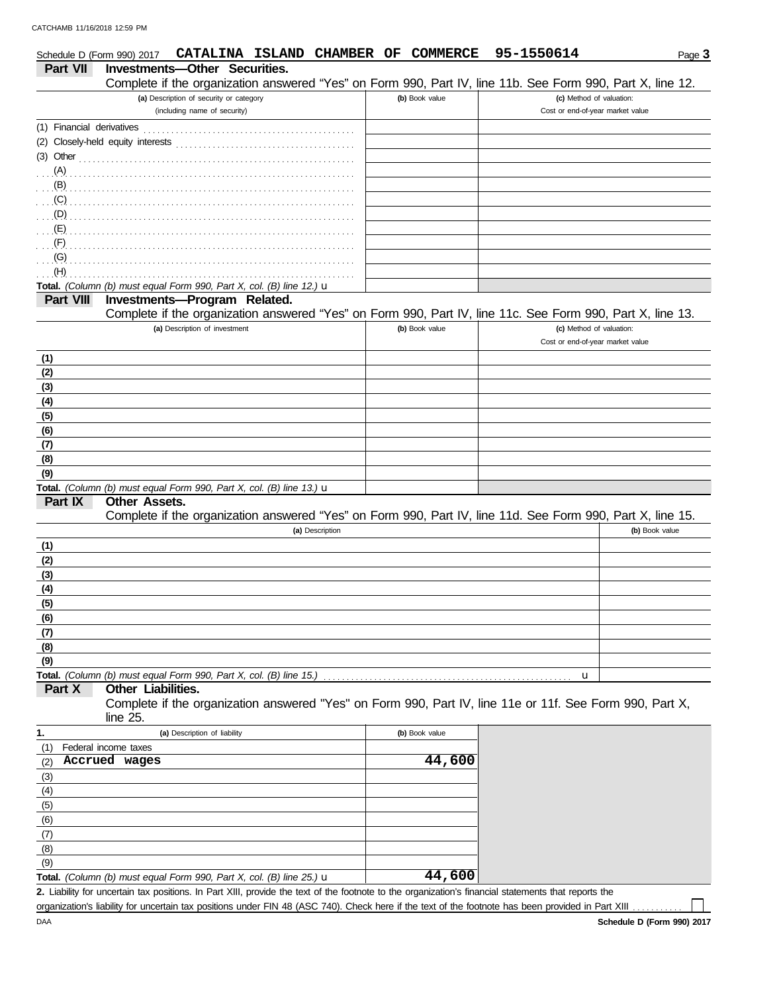| Investments-Other Securities.<br><b>Part VII</b><br>Complete if the organization answered "Yes" on Form 990, Part IV, line 11b. See Form 990, Part X, line 12.<br>(a) Description of security or category<br>(b) Book value<br>(c) Method of valuation:<br>(including name of security)<br>Cost or end-of-year market value<br>(1) Financial derivatives<br>$(3)$ Other<br>(A)<br>(B)<br>(C)<br>(D)<br>(E)<br>(F)<br>(G)<br>(H)<br>Total. (Column (b) must equal Form 990, Part X, col. (B) line 12.) u<br><b>Investments-Program Related.</b><br>Part VIII<br>Complete if the organization answered "Yes" on Form 990, Part IV, line 11c. See Form 990, Part X, line 13.<br>(a) Description of investment<br>(b) Book value<br>(c) Method of valuation:<br>Cost or end-of-year market value<br>(1)<br>(2)<br>(3)<br>(4)<br>(5)<br>(6)<br>(7)<br>(8)<br>(9)<br>Total. (Column (b) must equal Form 990, Part X, col. (B) line 13.) $\mathbf u$<br><b>Other Assets.</b><br>Part IX<br>Complete if the organization answered "Yes" on Form 990, Part IV, line 11d. See Form 990, Part X, line 15.<br>(b) Book value<br>(a) Description<br>(1)<br>(2)<br>(3)<br>(4)<br>(5)<br>(6)<br>(7)<br>(8)<br>(9)<br>Total. (Column (b) must equal Form 990, Part X, col. (B) line 15.)<br>u<br>Part X<br>Other Liabilities.<br>Complete if the organization answered "Yes" on Form 990, Part IV, line 11e or 11f. See Form 990, Part X,<br>line 25.<br>1.<br>(a) Description of liability<br>(b) Book value<br>(1)<br>Federal income taxes<br>44,600<br>Accrued wages<br>(2)<br>(3)<br>(4)<br>(5)<br>(6)<br>(7)<br>(8)<br>(9)<br>44,600<br>Total. (Column (b) must equal Form 990, Part X, col. (B) line 25.) $\mathbf u$<br>2. Liability for uncertain tax positions. In Part XIII, provide the text of the footnote to the organization's financial statements that reports the | Schedule D (Form 990) 2017 |  |  | CATALINA ISLAND CHAMBER OF COMMERCE |  |  | 95-1550614 | Page 3 |
|---------------------------------------------------------------------------------------------------------------------------------------------------------------------------------------------------------------------------------------------------------------------------------------------------------------------------------------------------------------------------------------------------------------------------------------------------------------------------------------------------------------------------------------------------------------------------------------------------------------------------------------------------------------------------------------------------------------------------------------------------------------------------------------------------------------------------------------------------------------------------------------------------------------------------------------------------------------------------------------------------------------------------------------------------------------------------------------------------------------------------------------------------------------------------------------------------------------------------------------------------------------------------------------------------------------------------------------------------------------------------------------------------------------------------------------------------------------------------------------------------------------------------------------------------------------------------------------------------------------------------------------------------------------------------------------------------------------------------------------------------------------------------------------------------------------------------------------------------------------------|----------------------------|--|--|-------------------------------------|--|--|------------|--------|
|                                                                                                                                                                                                                                                                                                                                                                                                                                                                                                                                                                                                                                                                                                                                                                                                                                                                                                                                                                                                                                                                                                                                                                                                                                                                                                                                                                                                                                                                                                                                                                                                                                                                                                                                                                                                                                                                     |                            |  |  |                                     |  |  |            |        |
|                                                                                                                                                                                                                                                                                                                                                                                                                                                                                                                                                                                                                                                                                                                                                                                                                                                                                                                                                                                                                                                                                                                                                                                                                                                                                                                                                                                                                                                                                                                                                                                                                                                                                                                                                                                                                                                                     |                            |  |  |                                     |  |  |            |        |
|                                                                                                                                                                                                                                                                                                                                                                                                                                                                                                                                                                                                                                                                                                                                                                                                                                                                                                                                                                                                                                                                                                                                                                                                                                                                                                                                                                                                                                                                                                                                                                                                                                                                                                                                                                                                                                                                     |                            |  |  |                                     |  |  |            |        |
|                                                                                                                                                                                                                                                                                                                                                                                                                                                                                                                                                                                                                                                                                                                                                                                                                                                                                                                                                                                                                                                                                                                                                                                                                                                                                                                                                                                                                                                                                                                                                                                                                                                                                                                                                                                                                                                                     |                            |  |  |                                     |  |  |            |        |
|                                                                                                                                                                                                                                                                                                                                                                                                                                                                                                                                                                                                                                                                                                                                                                                                                                                                                                                                                                                                                                                                                                                                                                                                                                                                                                                                                                                                                                                                                                                                                                                                                                                                                                                                                                                                                                                                     |                            |  |  |                                     |  |  |            |        |
|                                                                                                                                                                                                                                                                                                                                                                                                                                                                                                                                                                                                                                                                                                                                                                                                                                                                                                                                                                                                                                                                                                                                                                                                                                                                                                                                                                                                                                                                                                                                                                                                                                                                                                                                                                                                                                                                     |                            |  |  |                                     |  |  |            |        |
|                                                                                                                                                                                                                                                                                                                                                                                                                                                                                                                                                                                                                                                                                                                                                                                                                                                                                                                                                                                                                                                                                                                                                                                                                                                                                                                                                                                                                                                                                                                                                                                                                                                                                                                                                                                                                                                                     |                            |  |  |                                     |  |  |            |        |
|                                                                                                                                                                                                                                                                                                                                                                                                                                                                                                                                                                                                                                                                                                                                                                                                                                                                                                                                                                                                                                                                                                                                                                                                                                                                                                                                                                                                                                                                                                                                                                                                                                                                                                                                                                                                                                                                     |                            |  |  |                                     |  |  |            |        |
|                                                                                                                                                                                                                                                                                                                                                                                                                                                                                                                                                                                                                                                                                                                                                                                                                                                                                                                                                                                                                                                                                                                                                                                                                                                                                                                                                                                                                                                                                                                                                                                                                                                                                                                                                                                                                                                                     |                            |  |  |                                     |  |  |            |        |
|                                                                                                                                                                                                                                                                                                                                                                                                                                                                                                                                                                                                                                                                                                                                                                                                                                                                                                                                                                                                                                                                                                                                                                                                                                                                                                                                                                                                                                                                                                                                                                                                                                                                                                                                                                                                                                                                     |                            |  |  |                                     |  |  |            |        |
|                                                                                                                                                                                                                                                                                                                                                                                                                                                                                                                                                                                                                                                                                                                                                                                                                                                                                                                                                                                                                                                                                                                                                                                                                                                                                                                                                                                                                                                                                                                                                                                                                                                                                                                                                                                                                                                                     |                            |  |  |                                     |  |  |            |        |
|                                                                                                                                                                                                                                                                                                                                                                                                                                                                                                                                                                                                                                                                                                                                                                                                                                                                                                                                                                                                                                                                                                                                                                                                                                                                                                                                                                                                                                                                                                                                                                                                                                                                                                                                                                                                                                                                     |                            |  |  |                                     |  |  |            |        |
|                                                                                                                                                                                                                                                                                                                                                                                                                                                                                                                                                                                                                                                                                                                                                                                                                                                                                                                                                                                                                                                                                                                                                                                                                                                                                                                                                                                                                                                                                                                                                                                                                                                                                                                                                                                                                                                                     |                            |  |  |                                     |  |  |            |        |
|                                                                                                                                                                                                                                                                                                                                                                                                                                                                                                                                                                                                                                                                                                                                                                                                                                                                                                                                                                                                                                                                                                                                                                                                                                                                                                                                                                                                                                                                                                                                                                                                                                                                                                                                                                                                                                                                     |                            |  |  |                                     |  |  |            |        |
|                                                                                                                                                                                                                                                                                                                                                                                                                                                                                                                                                                                                                                                                                                                                                                                                                                                                                                                                                                                                                                                                                                                                                                                                                                                                                                                                                                                                                                                                                                                                                                                                                                                                                                                                                                                                                                                                     |                            |  |  |                                     |  |  |            |        |
|                                                                                                                                                                                                                                                                                                                                                                                                                                                                                                                                                                                                                                                                                                                                                                                                                                                                                                                                                                                                                                                                                                                                                                                                                                                                                                                                                                                                                                                                                                                                                                                                                                                                                                                                                                                                                                                                     |                            |  |  |                                     |  |  |            |        |
|                                                                                                                                                                                                                                                                                                                                                                                                                                                                                                                                                                                                                                                                                                                                                                                                                                                                                                                                                                                                                                                                                                                                                                                                                                                                                                                                                                                                                                                                                                                                                                                                                                                                                                                                                                                                                                                                     |                            |  |  |                                     |  |  |            |        |
|                                                                                                                                                                                                                                                                                                                                                                                                                                                                                                                                                                                                                                                                                                                                                                                                                                                                                                                                                                                                                                                                                                                                                                                                                                                                                                                                                                                                                                                                                                                                                                                                                                                                                                                                                                                                                                                                     |                            |  |  |                                     |  |  |            |        |
|                                                                                                                                                                                                                                                                                                                                                                                                                                                                                                                                                                                                                                                                                                                                                                                                                                                                                                                                                                                                                                                                                                                                                                                                                                                                                                                                                                                                                                                                                                                                                                                                                                                                                                                                                                                                                                                                     |                            |  |  |                                     |  |  |            |        |
|                                                                                                                                                                                                                                                                                                                                                                                                                                                                                                                                                                                                                                                                                                                                                                                                                                                                                                                                                                                                                                                                                                                                                                                                                                                                                                                                                                                                                                                                                                                                                                                                                                                                                                                                                                                                                                                                     |                            |  |  |                                     |  |  |            |        |
|                                                                                                                                                                                                                                                                                                                                                                                                                                                                                                                                                                                                                                                                                                                                                                                                                                                                                                                                                                                                                                                                                                                                                                                                                                                                                                                                                                                                                                                                                                                                                                                                                                                                                                                                                                                                                                                                     |                            |  |  |                                     |  |  |            |        |
|                                                                                                                                                                                                                                                                                                                                                                                                                                                                                                                                                                                                                                                                                                                                                                                                                                                                                                                                                                                                                                                                                                                                                                                                                                                                                                                                                                                                                                                                                                                                                                                                                                                                                                                                                                                                                                                                     |                            |  |  |                                     |  |  |            |        |
|                                                                                                                                                                                                                                                                                                                                                                                                                                                                                                                                                                                                                                                                                                                                                                                                                                                                                                                                                                                                                                                                                                                                                                                                                                                                                                                                                                                                                                                                                                                                                                                                                                                                                                                                                                                                                                                                     |                            |  |  |                                     |  |  |            |        |
|                                                                                                                                                                                                                                                                                                                                                                                                                                                                                                                                                                                                                                                                                                                                                                                                                                                                                                                                                                                                                                                                                                                                                                                                                                                                                                                                                                                                                                                                                                                                                                                                                                                                                                                                                                                                                                                                     |                            |  |  |                                     |  |  |            |        |
|                                                                                                                                                                                                                                                                                                                                                                                                                                                                                                                                                                                                                                                                                                                                                                                                                                                                                                                                                                                                                                                                                                                                                                                                                                                                                                                                                                                                                                                                                                                                                                                                                                                                                                                                                                                                                                                                     |                            |  |  |                                     |  |  |            |        |
|                                                                                                                                                                                                                                                                                                                                                                                                                                                                                                                                                                                                                                                                                                                                                                                                                                                                                                                                                                                                                                                                                                                                                                                                                                                                                                                                                                                                                                                                                                                                                                                                                                                                                                                                                                                                                                                                     |                            |  |  |                                     |  |  |            |        |
|                                                                                                                                                                                                                                                                                                                                                                                                                                                                                                                                                                                                                                                                                                                                                                                                                                                                                                                                                                                                                                                                                                                                                                                                                                                                                                                                                                                                                                                                                                                                                                                                                                                                                                                                                                                                                                                                     |                            |  |  |                                     |  |  |            |        |
|                                                                                                                                                                                                                                                                                                                                                                                                                                                                                                                                                                                                                                                                                                                                                                                                                                                                                                                                                                                                                                                                                                                                                                                                                                                                                                                                                                                                                                                                                                                                                                                                                                                                                                                                                                                                                                                                     |                            |  |  |                                     |  |  |            |        |
|                                                                                                                                                                                                                                                                                                                                                                                                                                                                                                                                                                                                                                                                                                                                                                                                                                                                                                                                                                                                                                                                                                                                                                                                                                                                                                                                                                                                                                                                                                                                                                                                                                                                                                                                                                                                                                                                     |                            |  |  |                                     |  |  |            |        |
|                                                                                                                                                                                                                                                                                                                                                                                                                                                                                                                                                                                                                                                                                                                                                                                                                                                                                                                                                                                                                                                                                                                                                                                                                                                                                                                                                                                                                                                                                                                                                                                                                                                                                                                                                                                                                                                                     |                            |  |  |                                     |  |  |            |        |
|                                                                                                                                                                                                                                                                                                                                                                                                                                                                                                                                                                                                                                                                                                                                                                                                                                                                                                                                                                                                                                                                                                                                                                                                                                                                                                                                                                                                                                                                                                                                                                                                                                                                                                                                                                                                                                                                     |                            |  |  |                                     |  |  |            |        |
|                                                                                                                                                                                                                                                                                                                                                                                                                                                                                                                                                                                                                                                                                                                                                                                                                                                                                                                                                                                                                                                                                                                                                                                                                                                                                                                                                                                                                                                                                                                                                                                                                                                                                                                                                                                                                                                                     |                            |  |  |                                     |  |  |            |        |
|                                                                                                                                                                                                                                                                                                                                                                                                                                                                                                                                                                                                                                                                                                                                                                                                                                                                                                                                                                                                                                                                                                                                                                                                                                                                                                                                                                                                                                                                                                                                                                                                                                                                                                                                                                                                                                                                     |                            |  |  |                                     |  |  |            |        |
|                                                                                                                                                                                                                                                                                                                                                                                                                                                                                                                                                                                                                                                                                                                                                                                                                                                                                                                                                                                                                                                                                                                                                                                                                                                                                                                                                                                                                                                                                                                                                                                                                                                                                                                                                                                                                                                                     |                            |  |  |                                     |  |  |            |        |
|                                                                                                                                                                                                                                                                                                                                                                                                                                                                                                                                                                                                                                                                                                                                                                                                                                                                                                                                                                                                                                                                                                                                                                                                                                                                                                                                                                                                                                                                                                                                                                                                                                                                                                                                                                                                                                                                     |                            |  |  |                                     |  |  |            |        |
|                                                                                                                                                                                                                                                                                                                                                                                                                                                                                                                                                                                                                                                                                                                                                                                                                                                                                                                                                                                                                                                                                                                                                                                                                                                                                                                                                                                                                                                                                                                                                                                                                                                                                                                                                                                                                                                                     |                            |  |  |                                     |  |  |            |        |
|                                                                                                                                                                                                                                                                                                                                                                                                                                                                                                                                                                                                                                                                                                                                                                                                                                                                                                                                                                                                                                                                                                                                                                                                                                                                                                                                                                                                                                                                                                                                                                                                                                                                                                                                                                                                                                                                     |                            |  |  |                                     |  |  |            |        |
|                                                                                                                                                                                                                                                                                                                                                                                                                                                                                                                                                                                                                                                                                                                                                                                                                                                                                                                                                                                                                                                                                                                                                                                                                                                                                                                                                                                                                                                                                                                                                                                                                                                                                                                                                                                                                                                                     |                            |  |  |                                     |  |  |            |        |
|                                                                                                                                                                                                                                                                                                                                                                                                                                                                                                                                                                                                                                                                                                                                                                                                                                                                                                                                                                                                                                                                                                                                                                                                                                                                                                                                                                                                                                                                                                                                                                                                                                                                                                                                                                                                                                                                     |                            |  |  |                                     |  |  |            |        |
|                                                                                                                                                                                                                                                                                                                                                                                                                                                                                                                                                                                                                                                                                                                                                                                                                                                                                                                                                                                                                                                                                                                                                                                                                                                                                                                                                                                                                                                                                                                                                                                                                                                                                                                                                                                                                                                                     |                            |  |  |                                     |  |  |            |        |
|                                                                                                                                                                                                                                                                                                                                                                                                                                                                                                                                                                                                                                                                                                                                                                                                                                                                                                                                                                                                                                                                                                                                                                                                                                                                                                                                                                                                                                                                                                                                                                                                                                                                                                                                                                                                                                                                     |                            |  |  |                                     |  |  |            |        |
|                                                                                                                                                                                                                                                                                                                                                                                                                                                                                                                                                                                                                                                                                                                                                                                                                                                                                                                                                                                                                                                                                                                                                                                                                                                                                                                                                                                                                                                                                                                                                                                                                                                                                                                                                                                                                                                                     |                            |  |  |                                     |  |  |            |        |
|                                                                                                                                                                                                                                                                                                                                                                                                                                                                                                                                                                                                                                                                                                                                                                                                                                                                                                                                                                                                                                                                                                                                                                                                                                                                                                                                                                                                                                                                                                                                                                                                                                                                                                                                                                                                                                                                     |                            |  |  |                                     |  |  |            |        |
|                                                                                                                                                                                                                                                                                                                                                                                                                                                                                                                                                                                                                                                                                                                                                                                                                                                                                                                                                                                                                                                                                                                                                                                                                                                                                                                                                                                                                                                                                                                                                                                                                                                                                                                                                                                                                                                                     |                            |  |  |                                     |  |  |            |        |
|                                                                                                                                                                                                                                                                                                                                                                                                                                                                                                                                                                                                                                                                                                                                                                                                                                                                                                                                                                                                                                                                                                                                                                                                                                                                                                                                                                                                                                                                                                                                                                                                                                                                                                                                                                                                                                                                     |                            |  |  |                                     |  |  |            |        |
|                                                                                                                                                                                                                                                                                                                                                                                                                                                                                                                                                                                                                                                                                                                                                                                                                                                                                                                                                                                                                                                                                                                                                                                                                                                                                                                                                                                                                                                                                                                                                                                                                                                                                                                                                                                                                                                                     |                            |  |  |                                     |  |  |            |        |
|                                                                                                                                                                                                                                                                                                                                                                                                                                                                                                                                                                                                                                                                                                                                                                                                                                                                                                                                                                                                                                                                                                                                                                                                                                                                                                                                                                                                                                                                                                                                                                                                                                                                                                                                                                                                                                                                     |                            |  |  |                                     |  |  |            |        |
|                                                                                                                                                                                                                                                                                                                                                                                                                                                                                                                                                                                                                                                                                                                                                                                                                                                                                                                                                                                                                                                                                                                                                                                                                                                                                                                                                                                                                                                                                                                                                                                                                                                                                                                                                                                                                                                                     |                            |  |  |                                     |  |  |            |        |
|                                                                                                                                                                                                                                                                                                                                                                                                                                                                                                                                                                                                                                                                                                                                                                                                                                                                                                                                                                                                                                                                                                                                                                                                                                                                                                                                                                                                                                                                                                                                                                                                                                                                                                                                                                                                                                                                     |                            |  |  |                                     |  |  |            |        |
|                                                                                                                                                                                                                                                                                                                                                                                                                                                                                                                                                                                                                                                                                                                                                                                                                                                                                                                                                                                                                                                                                                                                                                                                                                                                                                                                                                                                                                                                                                                                                                                                                                                                                                                                                                                                                                                                     |                            |  |  |                                     |  |  |            |        |
|                                                                                                                                                                                                                                                                                                                                                                                                                                                                                                                                                                                                                                                                                                                                                                                                                                                                                                                                                                                                                                                                                                                                                                                                                                                                                                                                                                                                                                                                                                                                                                                                                                                                                                                                                                                                                                                                     |                            |  |  |                                     |  |  |            |        |
|                                                                                                                                                                                                                                                                                                                                                                                                                                                                                                                                                                                                                                                                                                                                                                                                                                                                                                                                                                                                                                                                                                                                                                                                                                                                                                                                                                                                                                                                                                                                                                                                                                                                                                                                                                                                                                                                     |                            |  |  |                                     |  |  |            |        |
|                                                                                                                                                                                                                                                                                                                                                                                                                                                                                                                                                                                                                                                                                                                                                                                                                                                                                                                                                                                                                                                                                                                                                                                                                                                                                                                                                                                                                                                                                                                                                                                                                                                                                                                                                                                                                                                                     |                            |  |  |                                     |  |  |            |        |
|                                                                                                                                                                                                                                                                                                                                                                                                                                                                                                                                                                                                                                                                                                                                                                                                                                                                                                                                                                                                                                                                                                                                                                                                                                                                                                                                                                                                                                                                                                                                                                                                                                                                                                                                                                                                                                                                     |                            |  |  |                                     |  |  |            |        |

DAA organization's liability for uncertain tax positions under FIN 48 (ASC 740). Check here if the text of the footnote has been provided in Part XIII.

 $\Box$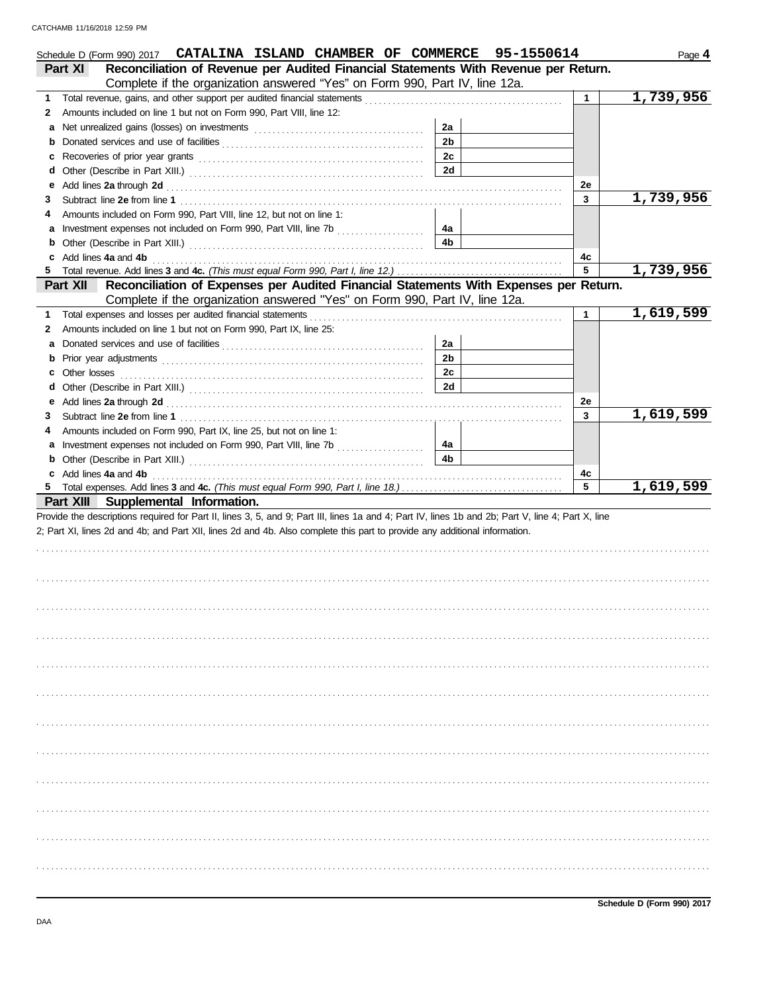| Schedule D (Form 990) 2017 CATALINA ISLAND CHAMBER OF COMMERCE 95-1550614                                                                                                                                                          |                      |              | Page 4    |
|------------------------------------------------------------------------------------------------------------------------------------------------------------------------------------------------------------------------------------|----------------------|--------------|-----------|
| Reconciliation of Revenue per Audited Financial Statements With Revenue per Return.<br>Part XI                                                                                                                                     |                      |              |           |
| Complete if the organization answered "Yes" on Form 990, Part IV, line 12a.                                                                                                                                                        |                      |              |           |
| 1.<br>Amounts included on line 1 but not on Form 990, Part VIII, line 12:                                                                                                                                                          |                      | $\mathbf{1}$ | 1,739,956 |
| 2<br>a                                                                                                                                                                                                                             | 2a                   |              |           |
|                                                                                                                                                                                                                                    | 2 <sub>b</sub>       |              |           |
| c                                                                                                                                                                                                                                  | 2c                   |              |           |
| d                                                                                                                                                                                                                                  | 2d                   |              |           |
| Add lines 2a through 2d [11] [12] Add [12] [12] Add lines 2a through 2d [12] Add lines 2a through 2d [12] [12] $\frac{1}{2}$<br>е                                                                                                  |                      | 2e           |           |
| З                                                                                                                                                                                                                                  |                      | 3            | 1,739,956 |
| Amounts included on Form 990, Part VIII, line 12, but not on line 1:<br>4                                                                                                                                                          |                      |              |           |
|                                                                                                                                                                                                                                    | 4а                   |              |           |
|                                                                                                                                                                                                                                    | 4b                   |              |           |
| c Add lines 4a and 4b                                                                                                                                                                                                              |                      | 4c           |           |
| 5.                                                                                                                                                                                                                                 |                      | 5            | 1,739,956 |
| Part XII Reconciliation of Expenses per Audited Financial Statements With Expenses per Return.                                                                                                                                     |                      |              |           |
| Complete if the organization answered "Yes" on Form 990, Part IV, line 12a.                                                                                                                                                        |                      |              |           |
| 1.                                                                                                                                                                                                                                 |                      | $\mathbf 1$  | 1,619,599 |
| Amounts included on line 1 but not on Form 990, Part IX, line 25:<br>2                                                                                                                                                             |                      |              |           |
| а                                                                                                                                                                                                                                  | 2a<br>2 <sub>b</sub> |              |           |
| b                                                                                                                                                                                                                                  | 2c                   |              |           |
| Other losses<br>С<br>d                                                                                                                                                                                                             | 2d                   |              |           |
| е                                                                                                                                                                                                                                  |                      | 2e           |           |
| Add lines 2a through 2d [11] [12] Additional Property and The Contract of The Contract of The Contract of The Contract of The Contract of The Contract of The Contract of The Contract of The Contract of The Contract of The<br>3 |                      | 3            | 1,619,599 |
| Amounts included on Form 990, Part IX, line 25, but not on line 1:<br>4                                                                                                                                                            |                      |              |           |
|                                                                                                                                                                                                                                    | 4a                   |              |           |
|                                                                                                                                                                                                                                    | 4b                   |              |           |
|                                                                                                                                                                                                                                    |                      |              |           |
| c Add lines 4a and 4b                                                                                                                                                                                                              |                      | 4c           |           |
|                                                                                                                                                                                                                                    |                      | 5            | 1,619,599 |
| Part XIII Supplemental Information.                                                                                                                                                                                                |                      |              |           |
| Provide the descriptions required for Part II, lines 3, 5, and 9; Part III, lines 1a and 4; Part IV, lines 1b and 2b; Part V, line 4; Part X, line                                                                                 |                      |              |           |
| 2; Part XI, lines 2d and 4b; and Part XII, lines 2d and 4b. Also complete this part to provide any additional information.                                                                                                         |                      |              |           |
|                                                                                                                                                                                                                                    |                      |              |           |
|                                                                                                                                                                                                                                    |                      |              |           |
|                                                                                                                                                                                                                                    |                      |              |           |
|                                                                                                                                                                                                                                    |                      |              |           |
|                                                                                                                                                                                                                                    |                      |              |           |
|                                                                                                                                                                                                                                    |                      |              |           |
|                                                                                                                                                                                                                                    |                      |              |           |
|                                                                                                                                                                                                                                    |                      |              |           |
|                                                                                                                                                                                                                                    |                      |              |           |
|                                                                                                                                                                                                                                    |                      |              |           |
|                                                                                                                                                                                                                                    |                      |              |           |
|                                                                                                                                                                                                                                    |                      |              |           |
|                                                                                                                                                                                                                                    |                      |              |           |
|                                                                                                                                                                                                                                    |                      |              |           |
|                                                                                                                                                                                                                                    |                      |              |           |
|                                                                                                                                                                                                                                    |                      |              |           |
|                                                                                                                                                                                                                                    |                      |              |           |
|                                                                                                                                                                                                                                    |                      |              |           |
|                                                                                                                                                                                                                                    |                      |              |           |
|                                                                                                                                                                                                                                    |                      |              |           |
|                                                                                                                                                                                                                                    |                      |              |           |
|                                                                                                                                                                                                                                    |                      |              |           |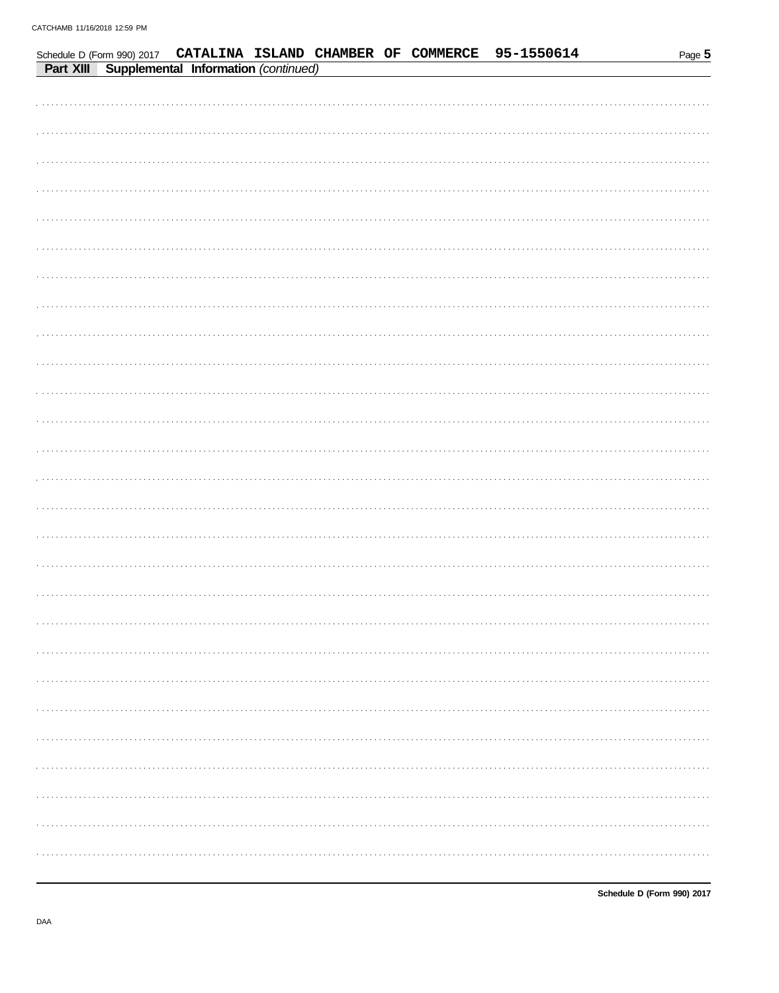|           |                                      |  | Schedule D (Form 990) 2017 CATALINA ISLAND CHAMBER OF COMMERCE | 95-1550614 | Page 5 |
|-----------|--------------------------------------|--|----------------------------------------------------------------|------------|--------|
| Part XIII | Supplemental Information (continued) |  |                                                                |            |        |
|           |                                      |  |                                                                |            |        |
|           |                                      |  |                                                                |            |        |
|           |                                      |  |                                                                |            |        |
|           |                                      |  |                                                                |            |        |
|           |                                      |  |                                                                |            |        |
|           |                                      |  |                                                                |            |        |
|           |                                      |  |                                                                |            |        |
|           |                                      |  |                                                                |            |        |
|           |                                      |  |                                                                |            |        |
|           |                                      |  |                                                                |            |        |
|           |                                      |  |                                                                |            |        |
|           |                                      |  |                                                                |            |        |
|           |                                      |  |                                                                |            |        |
|           |                                      |  |                                                                |            |        |
|           |                                      |  |                                                                |            |        |
|           |                                      |  |                                                                |            |        |
|           |                                      |  |                                                                |            |        |
|           |                                      |  |                                                                |            |        |
|           |                                      |  |                                                                |            |        |
|           |                                      |  |                                                                |            |        |
|           |                                      |  |                                                                |            |        |
|           |                                      |  |                                                                |            |        |
|           |                                      |  |                                                                |            |        |
|           |                                      |  |                                                                |            |        |
|           |                                      |  |                                                                |            |        |
|           |                                      |  |                                                                |            |        |
|           |                                      |  |                                                                |            |        |
|           |                                      |  |                                                                |            |        |
|           |                                      |  |                                                                |            |        |
|           |                                      |  |                                                                |            |        |
|           |                                      |  |                                                                |            |        |
|           |                                      |  |                                                                |            |        |
|           |                                      |  |                                                                |            |        |
|           |                                      |  |                                                                |            |        |
|           |                                      |  |                                                                |            |        |
|           |                                      |  |                                                                |            |        |
|           |                                      |  |                                                                |            |        |
|           |                                      |  |                                                                |            |        |
|           |                                      |  |                                                                |            |        |
|           |                                      |  |                                                                |            |        |
|           |                                      |  |                                                                |            |        |
|           |                                      |  |                                                                |            |        |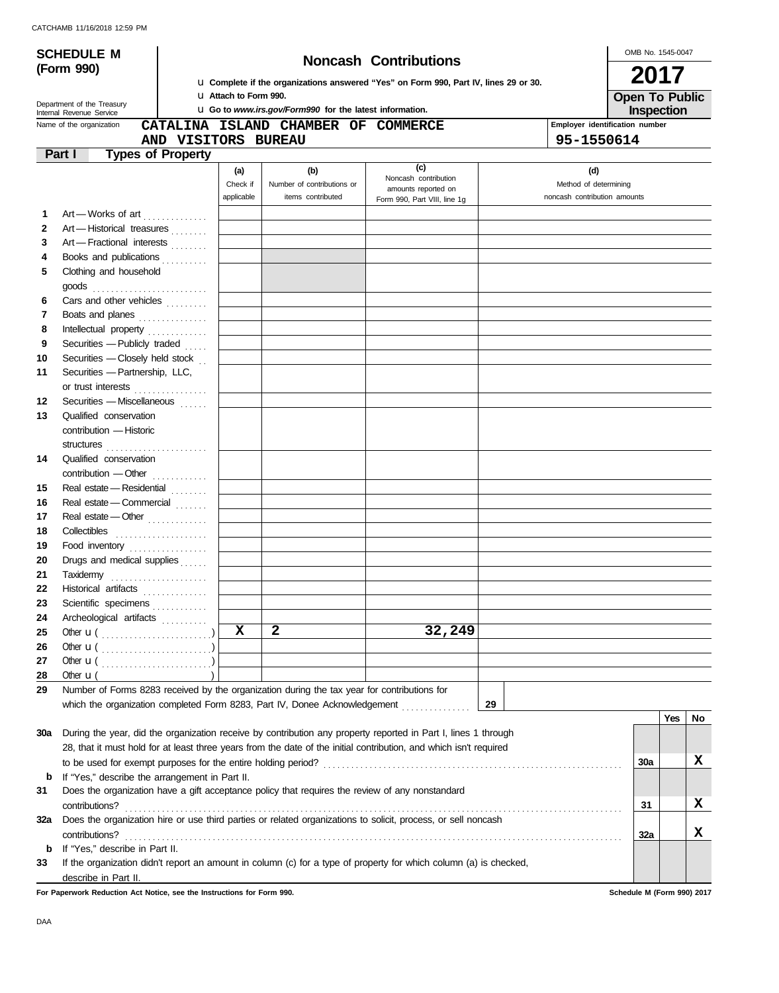|          | <b>SCHEDULE M</b>                                                                                          |                          |                                                                                          |                                                                                                 | <b>Noncash Contributions</b>                                                                                       |                              | OMB No. 1545-0047 |            |    |
|----------|------------------------------------------------------------------------------------------------------------|--------------------------|------------------------------------------------------------------------------------------|-------------------------------------------------------------------------------------------------|--------------------------------------------------------------------------------------------------------------------|------------------------------|-------------------|------------|----|
|          | (Form 990)<br>2017<br>u Complete if the organizations answered "Yes" on Form 990, Part IV, lines 29 or 30. |                          |                                                                                          |                                                                                                 |                                                                                                                    |                              |                   |            |    |
|          | Department of the Treasury                                                                                 |                          | LI Attach to Form 990.<br><b>u</b> Go to www.irs.gov/Form990 for the latest information. |                                                                                                 | <b>Open To Public</b><br>Inspection                                                                                |                              |                   |            |    |
|          | Internal Revenue Service<br>Name of the organization                                                       |                          |                                                                                          | Employer identification number                                                                  |                                                                                                                    |                              |                   |            |    |
|          |                                                                                                            | AND VISITORS BUREAU      |                                                                                          | CATALINA ISLAND CHAMBER OF COMMERCE                                                             |                                                                                                                    | 95-1550614                   |                   |            |    |
| Part I   |                                                                                                            | <b>Types of Property</b> |                                                                                          |                                                                                                 |                                                                                                                    |                              |                   |            |    |
|          |                                                                                                            |                          |                                                                                          |                                                                                                 | (c)                                                                                                                |                              |                   |            |    |
|          |                                                                                                            |                          | (a)<br>Check if                                                                          | (b)<br>Number of contributions or                                                               | Noncash contribution                                                                                               | (d)<br>Method of determining |                   |            |    |
|          |                                                                                                            |                          | applicable                                                                               | items contributed                                                                               | amounts reported on<br>Form 990, Part VIII, line 1g                                                                | noncash contribution amounts |                   |            |    |
| 1        |                                                                                                            |                          |                                                                                          |                                                                                                 |                                                                                                                    |                              |                   |            |    |
| 2        | Art-Works of art<br>Art - Historical treasures                                                             |                          |                                                                                          |                                                                                                 |                                                                                                                    |                              |                   |            |    |
| 3        | Art - Fractional interests                                                                                 |                          |                                                                                          |                                                                                                 |                                                                                                                    |                              |                   |            |    |
| 4        |                                                                                                            |                          |                                                                                          |                                                                                                 |                                                                                                                    |                              |                   |            |    |
| 5        | Books and publications<br>Clothing and household                                                           |                          |                                                                                          |                                                                                                 |                                                                                                                    |                              |                   |            |    |
|          |                                                                                                            |                          |                                                                                          |                                                                                                 |                                                                                                                    |                              |                   |            |    |
| 6        | goods<br>Cars and other vehicles                                                                           |                          |                                                                                          |                                                                                                 |                                                                                                                    |                              |                   |            |    |
| 7        |                                                                                                            |                          |                                                                                          |                                                                                                 |                                                                                                                    |                              |                   |            |    |
| 8        | Boats and planes                                                                                           |                          |                                                                                          |                                                                                                 |                                                                                                                    |                              |                   |            |    |
|          | Intellectual property                                                                                      |                          |                                                                                          |                                                                                                 |                                                                                                                    |                              |                   |            |    |
| 9        | Securities - Publicly traded $\ldots$<br>Securities - Closely held stock                                   |                          |                                                                                          |                                                                                                 |                                                                                                                    |                              |                   |            |    |
| 10<br>11 | Securities - Partnership, LLC,                                                                             |                          |                                                                                          |                                                                                                 |                                                                                                                    |                              |                   |            |    |
|          |                                                                                                            |                          |                                                                                          |                                                                                                 |                                                                                                                    |                              |                   |            |    |
|          | or trust interests                                                                                         |                          |                                                                                          |                                                                                                 |                                                                                                                    |                              |                   |            |    |
| 12       | Securities - Miscellaneous                                                                                 |                          |                                                                                          |                                                                                                 |                                                                                                                    |                              |                   |            |    |
| 13       | Qualified conservation                                                                                     |                          |                                                                                          |                                                                                                 |                                                                                                                    |                              |                   |            |    |
|          | contribution - Historic                                                                                    |                          |                                                                                          |                                                                                                 |                                                                                                                    |                              |                   |            |    |
|          | structures                                                                                                 |                          |                                                                                          |                                                                                                 |                                                                                                                    |                              |                   |            |    |
| 14       | Qualified conservation                                                                                     |                          |                                                                                          |                                                                                                 |                                                                                                                    |                              |                   |            |    |
|          | contribution - Other                                                                                       |                          |                                                                                          |                                                                                                 |                                                                                                                    |                              |                   |            |    |
| 15       | Real estate - Residential                                                                                  |                          |                                                                                          |                                                                                                 |                                                                                                                    |                              |                   |            |    |
| 16       | Real estate - Commercial                                                                                   |                          |                                                                                          |                                                                                                 |                                                                                                                    |                              |                   |            |    |
| 17       | Real estate - Other                                                                                        |                          |                                                                                          |                                                                                                 |                                                                                                                    |                              |                   |            |    |
| 18       | Collectibles                                                                                               |                          |                                                                                          |                                                                                                 |                                                                                                                    |                              |                   |            |    |
| 19       | Food inventory                                                                                             |                          |                                                                                          |                                                                                                 |                                                                                                                    |                              |                   |            |    |
| 20       | Drugs and medical supplies                                                                                 |                          |                                                                                          |                                                                                                 |                                                                                                                    |                              |                   |            |    |
| 21       | Taxidemy                                                                                                   |                          |                                                                                          |                                                                                                 |                                                                                                                    |                              |                   |            |    |
| 22       | Historical artifacts                                                                                       |                          |                                                                                          |                                                                                                 |                                                                                                                    |                              |                   |            |    |
| 23       | Scientific specimens                                                                                       |                          |                                                                                          |                                                                                                 |                                                                                                                    |                              |                   |            |    |
| 24       | Archeological artifacts                                                                                    |                          |                                                                                          |                                                                                                 |                                                                                                                    |                              |                   |            |    |
| 25       | Other $\mathbf{u}(\dots, \dots, \dots, \dots, \dots)$                                                      |                          | x                                                                                        | $\mathbf{2}$                                                                                    | 32,249                                                                                                             |                              |                   |            |    |
| 26       |                                                                                                            |                          |                                                                                          |                                                                                                 |                                                                                                                    |                              |                   |            |    |
| 27       |                                                                                                            |                          |                                                                                          |                                                                                                 |                                                                                                                    |                              |                   |            |    |
| 28       | Other $\mathbf{u}$ (                                                                                       |                          |                                                                                          |                                                                                                 |                                                                                                                    |                              |                   |            |    |
| 29       |                                                                                                            |                          |                                                                                          | Number of Forms 8283 received by the organization during the tax year for contributions for     |                                                                                                                    |                              |                   |            |    |
|          |                                                                                                            |                          |                                                                                          | which the organization completed Form 8283, Part IV, Donee Acknowledgement                      |                                                                                                                    | 29                           |                   |            |    |
|          |                                                                                                            |                          |                                                                                          |                                                                                                 |                                                                                                                    |                              |                   | <b>Yes</b> | No |
| 30a      |                                                                                                            |                          |                                                                                          |                                                                                                 | During the year, did the organization receive by contribution any property reported in Part I, lines 1 through     |                              |                   |            |    |
|          |                                                                                                            |                          |                                                                                          |                                                                                                 | 28, that it must hold for at least three years from the date of the initial contribution, and which isn't required |                              |                   |            |    |
|          |                                                                                                            |                          |                                                                                          |                                                                                                 |                                                                                                                    |                              | 30a               |            | x  |
| b        | If "Yes," describe the arrangement in Part II.                                                             |                          |                                                                                          |                                                                                                 |                                                                                                                    |                              |                   |            |    |
| 31       |                                                                                                            |                          |                                                                                          | Does the organization have a gift acceptance policy that requires the review of any nonstandard |                                                                                                                    |                              |                   |            |    |
|          | contributions?                                                                                             |                          |                                                                                          |                                                                                                 |                                                                                                                    |                              | 31                |            | x  |
| 32a      |                                                                                                            |                          |                                                                                          |                                                                                                 | Does the organization hire or use third parties or related organizations to solicit, process, or sell noncash      |                              |                   |            |    |
|          | contributions?                                                                                             |                          |                                                                                          |                                                                                                 |                                                                                                                    |                              | 32a               |            | X. |
| b        | If "Yes," describe in Part II.                                                                             |                          |                                                                                          |                                                                                                 |                                                                                                                    |                              |                   |            |    |
| 33       |                                                                                                            |                          |                                                                                          |                                                                                                 | If the organization didn't report an amount in column (c) for a type of property for which column (a) is checked,  |                              |                   |            |    |
|          | describe in Part II.                                                                                       |                          |                                                                                          |                                                                                                 |                                                                                                                    |                              |                   |            |    |

**For Paperwork Reduction Act Notice, see the Instructions for Form 990. Schedule M (Form 990) 2017**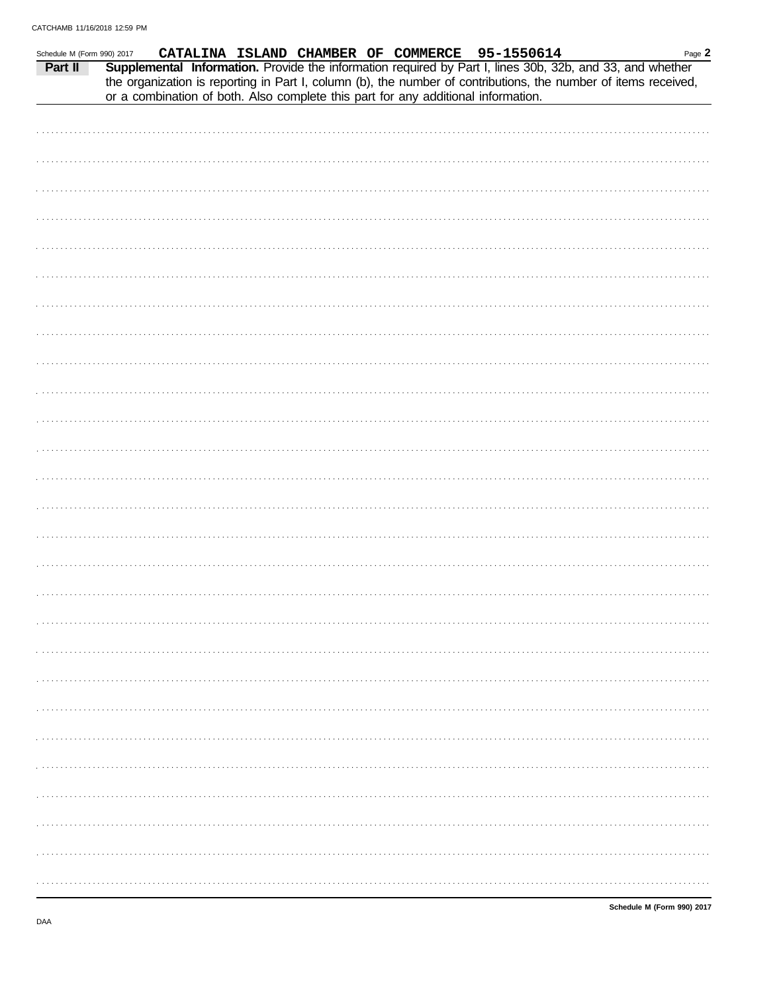| CATALINA ISLAND CHAMBER OF COMMERCE 95-1550614<br>Page 2<br>Schedule M (Form 990) 2017<br>Supplemental Information. Provide the information required by Part I, lines 30b, 32b, and 33, and whether<br>Part II<br>the organization is reporting in Part I, column (b), the number of contributions, the number of items received,<br>or a combination of both. Also complete this part for any additional information. |
|------------------------------------------------------------------------------------------------------------------------------------------------------------------------------------------------------------------------------------------------------------------------------------------------------------------------------------------------------------------------------------------------------------------------|
|                                                                                                                                                                                                                                                                                                                                                                                                                        |
|                                                                                                                                                                                                                                                                                                                                                                                                                        |
|                                                                                                                                                                                                                                                                                                                                                                                                                        |
|                                                                                                                                                                                                                                                                                                                                                                                                                        |
|                                                                                                                                                                                                                                                                                                                                                                                                                        |
|                                                                                                                                                                                                                                                                                                                                                                                                                        |
|                                                                                                                                                                                                                                                                                                                                                                                                                        |
|                                                                                                                                                                                                                                                                                                                                                                                                                        |
|                                                                                                                                                                                                                                                                                                                                                                                                                        |
|                                                                                                                                                                                                                                                                                                                                                                                                                        |
|                                                                                                                                                                                                                                                                                                                                                                                                                        |
|                                                                                                                                                                                                                                                                                                                                                                                                                        |
|                                                                                                                                                                                                                                                                                                                                                                                                                        |
|                                                                                                                                                                                                                                                                                                                                                                                                                        |
|                                                                                                                                                                                                                                                                                                                                                                                                                        |
|                                                                                                                                                                                                                                                                                                                                                                                                                        |
|                                                                                                                                                                                                                                                                                                                                                                                                                        |
|                                                                                                                                                                                                                                                                                                                                                                                                                        |
|                                                                                                                                                                                                                                                                                                                                                                                                                        |
|                                                                                                                                                                                                                                                                                                                                                                                                                        |
|                                                                                                                                                                                                                                                                                                                                                                                                                        |
|                                                                                                                                                                                                                                                                                                                                                                                                                        |
|                                                                                                                                                                                                                                                                                                                                                                                                                        |
|                                                                                                                                                                                                                                                                                                                                                                                                                        |
|                                                                                                                                                                                                                                                                                                                                                                                                                        |
|                                                                                                                                                                                                                                                                                                                                                                                                                        |
|                                                                                                                                                                                                                                                                                                                                                                                                                        |
|                                                                                                                                                                                                                                                                                                                                                                                                                        |